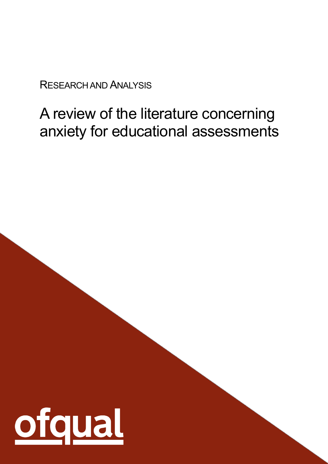RESEARCH AND ANALYSIS

# A review of the literature concerning anxiety for educational assessments

1

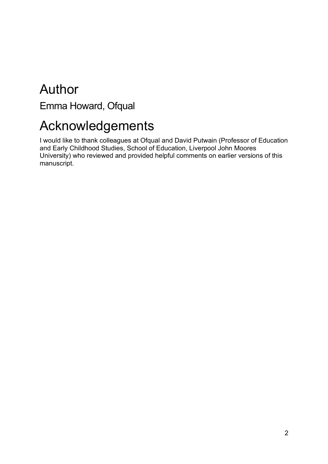# Author

Emma Howard, Ofqual

# Acknowledgements

I would like to thank colleagues at Ofqual and David Putwain (Professor of Education and Early Childhood Studies, School of Education, Liverpool John Moores University) who reviewed and provided helpful comments on earlier versions of this manuscript.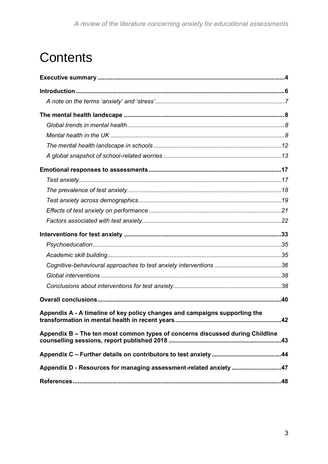# **Contents**

| Appendix A - A timeline of key policy changes and campaigns supporting the    | 42 |
|-------------------------------------------------------------------------------|----|
| Appendix B - The ten most common types of concerns discussed during Childline |    |
|                                                                               |    |
| Appendix D - Resources for managing assessment-related anxiety47              |    |
|                                                                               |    |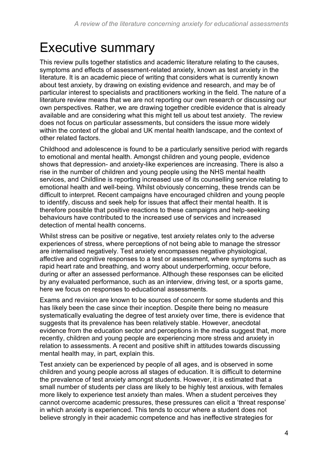# <span id="page-3-0"></span>Executive summary

This review pulls together statistics and academic literature relating to the causes, symptoms and effects of assessment-related anxiety, known as test anxiety in the literature. It is an academic piece of writing that considers what is currently known about test anxiety, by drawing on existing evidence and research, and may be of particular interest to specialists and practitioners working in the field. The nature of a literature review means that we are not reporting our own research or discussing our own perspectives. Rather, we are drawing together credible evidence that is already available and are considering what this might tell us about test anxiety. The review does not focus on particular assessments, but considers the issue more widely within the context of the global and UK mental health landscape, and the context of other related factors.

Childhood and adolescence is found to be a particularly sensitive period with regards to emotional and mental health. Amongst children and young people, evidence shows that depression- and anxiety-like experiences are increasing. There is also a rise in the number of children and young people using the NHS mental health services, and Childline is reporting increased use of its counselling service relating to emotional health and well-being. Whilst obviously concerning, these trends can be difficult to interpret. Recent campaigns have encouraged children and young people to identify, discuss and seek help for issues that affect their mental health. It is therefore possible that positive reactions to these campaigns and help-seeking behaviours have contributed to the increased use of services and increased detection of mental health concerns.

Whilst stress can be positive or negative, test anxiety relates only to the adverse experiences of stress, where perceptions of not being able to manage the stressor are internalised negatively. Test anxiety encompasses negative physiological, affective and cognitive responses to a test or assessment, where symptoms such as rapid heart rate and breathing, and worry about underperforming, occur before, during or after an assessed performance. Although these responses can be elicited by any evaluated performance, such as an interview, driving test, or a sports game, here we focus on responses to educational assessments.

Exams and revision are known to be sources of concern for some students and this has likely been the case since their inception. Despite there being no measure systematically evaluating the degree of test anxiety over time, there is evidence that suggests that its prevalence has been relatively stable. However, anecdotal evidence from the education sector and perceptions in the media suggest that, more recently, children and young people are experiencing more stress and anxiety in relation to assessments. A recent and positive shift in attitudes towards discussing mental health may, in part, explain this.

Test anxiety can be experienced by people of all ages, and is observed in some children and young people across all stages of education. It is difficult to determine the prevalence of test anxiety amongst students. However, it is estimated that a small number of students per class are likely to be highly test anxious, with females more likely to experience test anxiety than males. When a student perceives they cannot overcome academic pressures, these pressures can elicit a 'threat response' in which anxiety is experienced. This tends to occur where a student does not believe strongly in their academic competence and has ineffective strategies for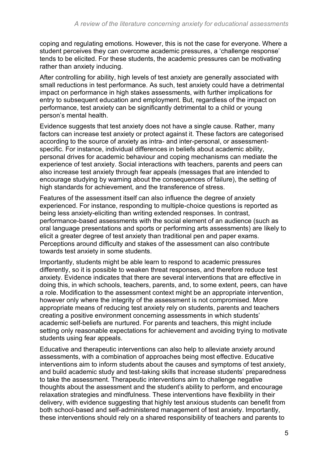coping and regulating emotions. However, this is not the case for everyone. Where a student perceives they can overcome academic pressures, a 'challenge response' tends to be elicited. For these students, the academic pressures can be motivating rather than anxiety inducing.

After controlling for ability, high levels of test anxiety are generally associated with small reductions in test performance. As such, test anxiety could have a detrimental impact on performance in high stakes assessments, with further implications for entry to subsequent education and employment. But, regardless of the impact on performance, test anxiety can be significantly detrimental to a child or young person's mental health.

Evidence suggests that test anxiety does not have a single cause. Rather, many factors can increase test anxiety or protect against it. These factors are categorised according to the source of anxiety as intra- and inter-personal, or assessmentspecific. For instance, individual differences in beliefs about academic ability, personal drives for academic behaviour and coping mechanisms can mediate the experience of test anxiety. Social interactions with teachers, parents and peers can also increase test anxiety through fear appeals (messages that are intended to encourage studying by warning about the consequences of failure), the setting of high standards for achievement, and the transference of stress.

Features of the assessment itself can also influence the degree of anxiety experienced. For instance, responding to multiple-choice questions is reported as being less anxiety-eliciting than writing extended responses. In contrast, performance-based assessments with the social element of an audience (such as oral language presentations and sports or performing arts assessments) are likely to elicit a greater degree of test anxiety than traditional pen and paper exams. Perceptions around difficulty and stakes of the assessment can also contribute towards test anxiety in some students.

Importantly, students might be able learn to respond to academic pressures differently, so it is possible to weaken threat responses, and therefore reduce test anxiety. Evidence indicates that there are several interventions that are effective in doing this, in which schools, teachers, parents, and, to some extent, peers, can have a role. Modification to the assessment context might be an appropriate intervention, however only where the integrity of the assessment is not compromised. More appropriate means of reducing test anxiety rely on students, parents and teachers creating a positive environment concerning assessments in which students' academic self-beliefs are nurtured. For parents and teachers, this might include setting only reasonable expectations for achievement and avoiding trying to motivate students using fear appeals.

Educative and therapeutic interventions can also help to alleviate anxiety around assessments, with a combination of approaches being most effective. Educative interventions aim to inform students about the causes and symptoms of test anxiety, and build academic study and test-taking skills that increase students' preparedness to take the assessment. Therapeutic interventions aim to challenge negative thoughts about the assessment and the student's ability to perform, and encourage relaxation strategies and mindfulness. These interventions have flexibility in their delivery, with evidence suggesting that highly test anxious students can benefit from both school-based and self-administered management of test anxiety. Importantly, these interventions should rely on a shared responsibility of teachers and parents to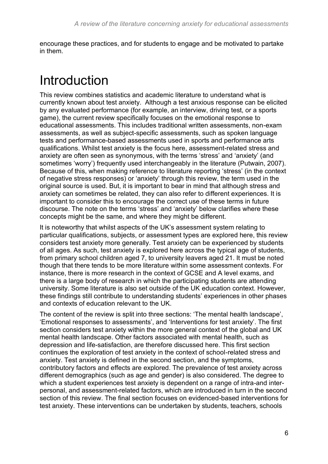encourage these practices, and for students to engage and be motivated to partake in them.

# <span id="page-5-0"></span>Introduction

This review combines statistics and academic literature to understand what is currently known about test anxiety. Although a test anxious response can be elicited by any evaluated performance (for example, an interview, driving test, or a sports game), the current review specifically focuses on the emotional response to educational assessments. This includes traditional written assessments, non-exam assessments, as well as subject-specific assessments, such as spoken language tests and performance-based assessments used in sports and performance arts qualifications. Whilst test anxiety is the focus here, assessment-related stress and anxiety are often seen as synonymous, with the terms 'stress' and 'anxiety' (and sometimes 'worry') frequently used interchangeably in the literature (Putwain, 2007). Because of this, when making reference to literature reporting 'stress' (in the context of negative stress responses) or 'anxiety' through this review, the term used in the original source is used. But, it is important to bear in mind that although stress and anxiety can sometimes be related, they can also refer to different experiences. It is important to consider this to encourage the correct use of these terms in future discourse. The note on the terms 'stress' and 'anxiety' below clarifies where these concepts might be the same, and where they might be different.

It is noteworthy that whilst aspects of the UK's assessment system relating to particular qualifications, subjects, or assessment types are explored here, this review considers test anxiety more generally. Test anxiety can be experienced by students of all ages. As such, test anxiety is explored here across the typical age of students, from primary school children aged 7, to university leavers aged 21. It must be noted though that there tends to be more literature within some assessment contexts. For instance, there is more research in the context of GCSE and A level exams, and there is a large body of research in which the participating students are attending university. Some literature is also set outside of the UK education context. However, these findings still contribute to understanding students' experiences in other phases and contexts of education relevant to the UK.

The content of the review is split into three sections: 'The mental health landscape', 'Emotional responses to assessments', and 'Interventions for test anxiety'. The first section considers test anxiety within the more general context of the global and UK mental health landscape. Other factors associated with mental health, such as depression and life-satisfaction, are therefore discussed here. This first section continues the exploration of test anxiety in the context of school-related stress and anxiety. Test anxiety is defined in the second section, and the symptoms, contributory factors and effects are explored. The prevalence of test anxiety across different demographics (such as age and gender) is also considered. The degree to which a student experiences test anxiety is dependent on a range of intra-and interpersonal, and assessment-related factors, which are introduced in turn in the second section of this review. The final section focuses on evidenced-based interventions for test anxiety. These interventions can be undertaken by students, teachers, schools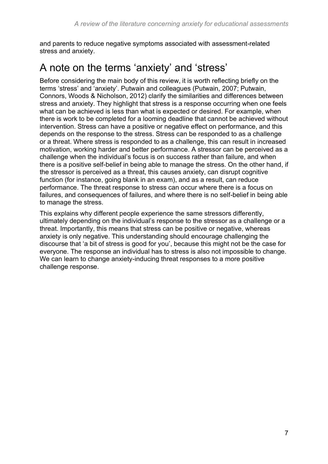and parents to reduce negative symptoms associated with assessment-related stress and anxiety.

# <span id="page-6-0"></span>A note on the terms 'anxiety' and 'stress'

Before considering the main body of this review, it is worth reflecting briefly on the terms 'stress' and 'anxiety'. Putwain and colleagues (Putwain, 2007; Putwain, Connors, Woods & Nicholson, 2012) clarify the similarities and differences between stress and anxiety. They highlight that stress is a response occurring when one feels what can be achieved is less than what is expected or desired. For example, when there is work to be completed for a looming deadline that cannot be achieved without intervention. Stress can have a positive or negative effect on performance, and this depends on the response to the stress. Stress can be responded to as a challenge or a threat. Where stress is responded to as a challenge, this can result in increased motivation, working harder and better performance. A stressor can be perceived as a challenge when the individual's focus is on success rather than failure, and when there is a positive self-belief in being able to manage the stress. On the other hand, if the stressor is perceived as a threat, this causes anxiety, can disrupt cognitive function (for instance, going blank in an exam), and as a result, can reduce performance. The threat response to stress can occur where there is a focus on failures, and consequences of failures, and where there is no self-belief in being able to manage the stress.

This explains why different people experience the same stressors differently, ultimately depending on the individual's response to the stressor as a challenge or a threat. Importantly, this means that stress can be positive or negative, whereas anxiety is only negative. This understanding should encourage challenging the discourse that 'a bit of stress is good for you', because this might not be the case for everyone. The response an individual has to stress is also not impossible to change. We can learn to change anxiety-inducing threat responses to a more positive challenge response.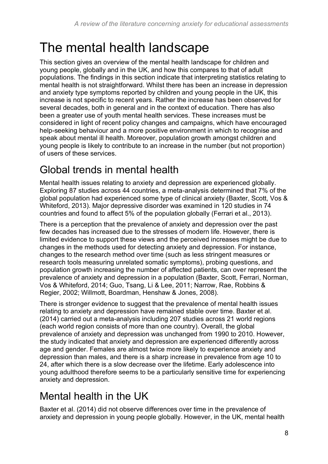# <span id="page-7-0"></span>The mental health landscape

This section gives an overview of the mental health landscape for children and young people, globally and in the UK, and how this compares to that of adult populations. The findings in this section indicate that interpreting statistics relating to mental health is not straightforward. Whilst there has been an increase in depression and anxiety type symptoms reported by children and young people in the UK, this increase is not specific to recent years. Rather the increase has been observed for several decades, both in general and in the context of education. There has also been a greater use of youth mental health services. These increases must be considered in light of recent policy changes and campaigns, which have encouraged help-seeking behaviour and a more positive environment in which to recognise and speak about mental ill health. Moreover, population growth amongst children and young people is likely to contribute to an increase in the number (but not proportion) of users of these services.

# <span id="page-7-1"></span>Global trends in mental health

Mental health issues relating to anxiety and depression are experienced globally. Exploring 87 studies across 44 countries, a meta-analysis determined that 7% of the global population had experienced some type of clinical anxiety (Baxter, Scott, Vos & Whiteford, 2013). Major depressive disorder was examined in 120 studies in 74 countries and found to affect 5% of the population globally (Ferrari et al., 2013).

There is a perception that the prevalence of anxiety and depression over the past few decades has increased due to the stresses of modern life. However, there is limited evidence to support these views and the perceived increases might be due to changes in the methods used for detecting anxiety and depression. For instance, changes to the research method over time (such as less stringent measures or research tools measuring unrelated somatic symptoms), probing questions, and population growth increasing the number of affected patients, can over represent the prevalence of anxiety and depression in a population (Baxter, Scott, Ferrari, Norman, Vos & Whiteford, 2014; Guo, Tsang, Li & Lee, 2011; Narrow, Rae, Robbins & Regier, 2002; Willmott, Boardman, Henshaw & Jones, 2008).

There is stronger evidence to suggest that the prevalence of mental health issues relating to anxiety and depression have remained stable over time. Baxter et al. (2014) carried out a meta-analysis including 207 studies across 21 world regions (each world region consists of more than one country). Overall, the global prevalence of anxiety and depression was unchanged from 1990 to 2010. However, the study indicated that anxiety and depression are experienced differently across age and gender. Females are almost twice more likely to experience anxiety and depression than males, and there is a sharp increase in prevalence from age 10 to 24, after which there is a slow decrease over the lifetime. Early adolescence into young adulthood therefore seems to be a particularly sensitive time for experiencing anxiety and depression.

# <span id="page-7-2"></span>Mental health in the UK

Baxter et al. (2014) did not observe differences over time in the prevalence of anxiety and depression in young people globally. However, in the UK, mental health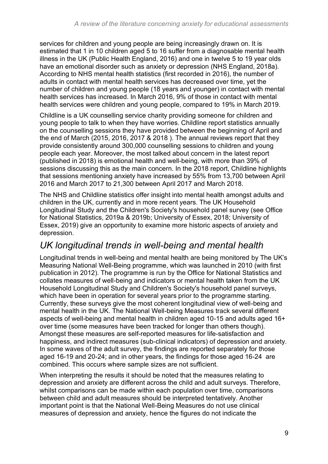services for children and young people are being increasingly drawn on. It is estimated that 1 in 10 children aged 5 to 16 suffer from a diagnosable mental health illness in the UK (Public Health England, 2016) and one in twelve 5 to 19 year olds have an emotional disorder such as anxiety or depression (NHS England, 2018a). According to NHS mental health statistics (first recorded in 2016), the number of adults in contact with mental health services has decreased over time, yet the number of children and young people (18 years and younger) in contact with mental health services has increased. In March 2016, 9% of those in contact with mental health services were children and young people, compared to 19% in March 2019.

Childline is a UK counselling service charity providing someone for children and young people to talk to when they have worries. Childline report statistics annually on the counselling sessions they have provided between the beginning of April and the end of March (2015, 2016, 2017 & 2018 ). The annual reviews report that they provide consistently around 300,000 counselling sessions to children and young people each year. Moreover, the most talked about concern in the latest report (published in 2018) is emotional health and well-being, with more than 39% of sessions discussing this as the main concern. In the 2018 report, Childline highlights that sessions mentioning anxiety have increased by 55% from 13,700 between April 2016 and March 2017 to 21,300 between April 2017 and March 2018.

The NHS and Childline statistics offer insight into mental health amongst adults and children in the UK, currently and in more recent years. The UK Household Longitudinal Study and the Children's Society's household panel survey (see Office for National Statistics, 2019a & 2019b; University of Essex, 2018; University of Essex, 2019) give an opportunity to examine more historic aspects of anxiety and depression.

### *UK longitudinal trends in well-being and mental health*

Longitudinal trends in well-being and mental health are being monitored by The UK's Measuring National Well-Being programme, which was launched in 2010 (with first publication in 2012). The programme is run by the Office for National Statistics and collates measures of well-being and indicators or mental health taken from the UK Household Longitudinal Study and Children's Society's household panel surveys, which have been in operation for several years prior to the programme starting. Currently, these surveys give the most coherent longitudinal view of well-being and mental health in the UK. The National Well-being Measures track several different aspects of well-being and mental health in children aged 10-15 and adults aged 16+ over time (some measures have been tracked for longer than others though). Amongst these measures are self-reported measures for life-satisfaction and happiness, and indirect measures (sub-clinical indicators) of depression and anxiety. In some waves of the adult survey, the findings are reported separately for those aged 16-19 and 20-24; and in other years, the findings for those aged 16-24 are combined. This occurs where sample sizes are not sufficient.

When interpreting the results it should be noted that the measures relating to depression and anxiety are different across the child and adult surveys. Therefore, whilst comparisons can be made within each population over time, comparisons between child and adult measures should be interpreted tentatively. Another important point is that the National Well-Being Measures do not use clinical measures of depression and anxiety, hence the figures do not indicate the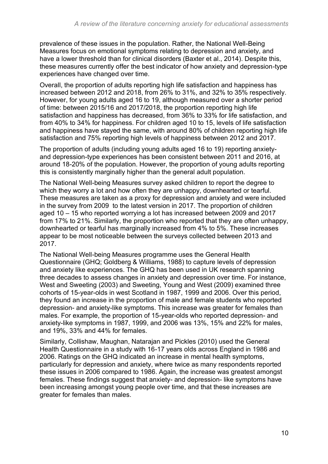prevalence of these issues in the population. Rather, the National Well-Being Measures focus on emotional symptoms relating to depression and anxiety, and have a lower threshold than for clinical disorders (Baxter et al., 2014). Despite this, these measures currently offer the best indicator of how anxiety and depression-type experiences have changed over time.

Overall, the proportion of adults reporting high life satisfaction and happiness has increased between 2012 and 2018, from 26% to 31%, and 32% to 35% respectively. However, for young adults aged 16 to 19, although measured over a shorter period of time: between 2015/16 and 2017/2018, the proportion reporting high life satisfaction and happiness has decreased, from 36% to 33% for life satisfaction, and from 40% to 34% for happiness. For children aged 10 to 15, levels of life satisfaction and happiness have stayed the same, with around 80% of children reporting high life satisfaction and 75% reporting high levels of happiness between 2012 and 2017.

The proportion of adults (including young adults aged 16 to 19) reporting anxietyand depression-type experiences has been consistent between 2011 and 2016, at around 18-20% of the population. However, the proportion of young adults reporting this is consistently marginally higher than the general adult population.

The National Well-being Measures survey asked children to report the degree to which they worry a lot and how often they are unhappy, downhearted or tearful. These measures are taken as a proxy for depression and anxiety and were included in the survey from 2009 to the latest version in 2017. The proportion of children aged 10 – 15 who reported worrying a lot has increased between 2009 and 2017 from 17% to 21%. Similarly, the proportion who reported that they are often unhappy, downhearted or tearful has marginally increased from 4% to 5%. These increases appear to be most noticeable between the surveys collected between 2013 and 2017.

The National Well-being Measures programme uses the General Health Questionnaire (GHQ; Goldberg & Williams, 1988) to capture levels of depression and anxiety like experiences. The GHQ has been used in UK research spanning three decades to assess changes in anxiety and depression over time. For instance, West and Sweeting (2003) and Sweeting, Young and West (2009) examined three cohorts of 15-year-olds in west Scotland in 1987, 1999 and 2006. Over this period, they found an increase in the proportion of male and female students who reported depression- and anxiety-like symptoms. This increase was greater for females than males. For example, the proportion of 15-year-olds who reported depression- and anxiety-like symptoms in 1987, 1999, and 2006 was 13%, 15% and 22% for males, and 19%, 33% and 44% for females.

Similarly, Collishaw, Maughan, Natarajan and Pickles (2010) used the General Health Questionnaire in a study with 16-17 years olds across England in 1986 and 2006. Ratings on the GHQ indicated an increase in mental health symptoms, particularly for depression and anxiety, where twice as many respondents reported these issues in 2006 compared to 1986. Again, the increase was greatest amongst females. These findings suggest that anxiety- and depression- like symptoms have been increasing amongst young people over time, and that these increases are greater for females than males.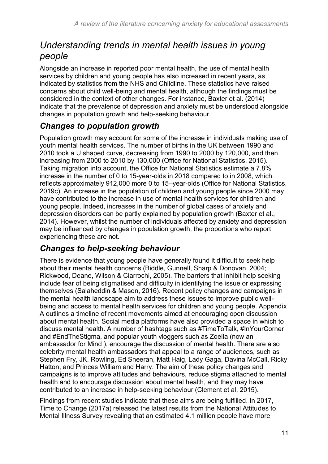### *Understanding trends in mental health issues in young people*

Alongside an increase in reported poor mental health, the use of mental health services by children and young people has also increased in recent years, as indicated by statistics from the NHS and Childline. These statistics have raised concerns about child well-being and mental health, although the findings must be considered in the context of other changes. For instance, Baxter et al. (2014) indicate that the prevalence of depression and anxiety must be understood alongside changes in population growth and help-seeking behaviour.

### *Changes to population growth*

Population growth may account for some of the increase in individuals making use of youth mental health services. The number of births in the UK between 1990 and 2010 took a U shaped curve, decreasing from 1990 to 2000 by 120,000, and then increasing from 2000 to 2010 by 130,000 (Office for National Statistics, 2015). Taking migration into account, the Office for National Statistics estimate a 7.8% increase in the number of 0 to 15-year-olds in 2018 compared to in 2008, which reflects approximately 912,000 more 0 to 15–year-olds (Office for National Statistics, 2019c). An increase in the population of children and young people since 2000 may have contributed to the increase in use of mental health services for children and young people. Indeed, increases in the number of global cases of anxiety and depression disorders can be partly explained by population growth (Baxter et al., 2014). However, whilst the number of individuals affected by anxiety and depression may be influenced by changes in population growth, the proportions who report experiencing these are not.

### *Changes to help-seeking behaviour*

There is evidence that young people have generally found it difficult to seek help about their mental health concerns (Biddle, Gunnell, Sharp & Donovan, 2004; Rickwood, Deane, Wilson & Ciarrochi, 2005). The barriers that inhibit help seeking include fear of being stigmatised and difficulty in identifying the issue or expressing themselves (Salaheddin & Mason, 2016). Recent policy changes and campaigns in the mental health landscape aim to address these issues to improve public wellbeing and access to mental health services for children and young people. Appendix A outlines a timeline of recent movements aimed at encouraging open discussion about mental health. Social media platforms have also provided a space in which to discuss mental health. A number of hashtags such as #TimeToTalk, #InYourCorner and #EndTheStigma, and popular youth vloggers such as Zoella (now an ambassador for Mind ), encourage the discussion of mental health. There are also celebrity mental health ambassadors that appeal to a range of audiences, such as Stephen Fry, JK. Rowling, Ed Sheeran, Matt Haig, Lady Gaga, Davina McCall, Ricky Hatton, and Princes William and Harry. The aim of these policy changes and campaigns is to improve attitudes and behaviours, reduce stigma attached to mental health and to encourage discussion about mental health, and they may have contributed to an increase in help-seeking behaviour (Clement et al, 2015).

Findings from recent studies indicate that these aims are being fulfilled. In 2017, Time to Change (2017a) released the latest results from the National Attitudes to Mental Illness Survey revealing that an estimated 4.1 million people have more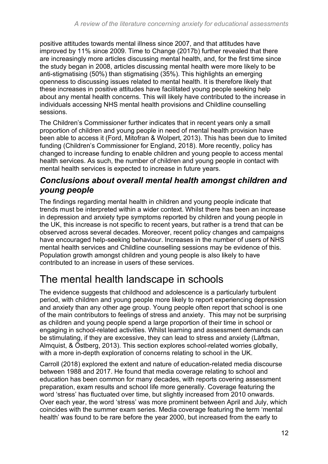positive attitudes towards mental illness since 2007, and that attitudes have improved by 11% since 2009. Time to Change (2017b) further revealed that there are increasingly more articles discussing mental health, and, for the first time since the study began in 2008, articles discussing mental health were more likely to be anti-stigmatising (50%) than stigmatising (35%). This highlights an emerging openness to discussing issues related to mental health. It is therefore likely that these increases in positive attitudes have facilitated young people seeking help about any mental health concerns. This will likely have contributed to the increase in individuals accessing NHS mental health provisions and Childline counselling sessions.

The Children's Commissioner further indicates that in recent years only a small proportion of children and young people in need of mental health provision have been able to access it (Ford, Mitofran & Wolpert, 2013). This has been due to limited funding (Children's Commissioner for England, 2018). More recently, policy has changed to increase funding to enable children and young people to access mental health services. As such, the number of children and young people in contact with mental health services is expected to increase in future years.

#### *Conclusions about overall mental health amongst children and young people*

The findings regarding mental health in children and young people indicate that trends must be interpreted within a wider context. Whilst there has been an increase in depression and anxiety type symptoms reported by children and young people in the UK, this increase is not specific to recent years, but rather is a trend that can be observed across several decades. Moreover, recent policy changes and campaigns have encouraged help-seeking behaviour. Increases in the number of users of NHS mental health services and Childline counselling sessions may be evidence of this. Population growth amongst children and young people is also likely to have contributed to an increase in users of these services.

# <span id="page-11-0"></span>The mental health landscape in schools

The evidence suggests that childhood and adolescence is a particularly turbulent period, with children and young people more likely to report experiencing depression and anxiety than any other age group. Young people often report that school is one of the main contributors to feelings of stress and anxiety. This may not be surprising as children and young people spend a large proportion of their time in school or engaging in school-related activities. Whilst learning and assessment demands can be stimulating, if they are excessive, they can lead to stress and anxiety (Låftman, Almquist, & Östberg, 2013). This section explores school-related worries globally, with a more in-depth exploration of concerns relating to school in the UK.

Carroll (2018) explored the extent and nature of education-related media discourse between 1988 and 2017. He found that media coverage relating to school and education has been common for many decades, with reports covering assessment preparation, exam results and school life more generally. Coverage featuring the word 'stress' has fluctuated over time, but slightly increased from 2010 onwards. Over each year, the word 'stress' was more prominent between April and July, which coincides with the summer exam series. Media coverage featuring the term 'mental health' was found to be rare before the year 2000, but increased from the early to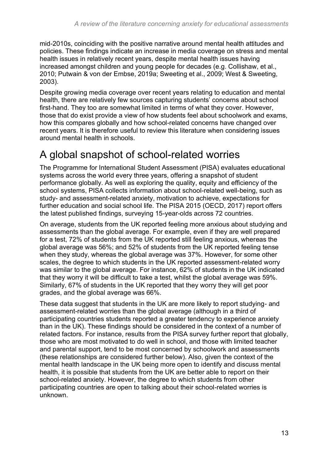mid-2010s, coinciding with the positive narrative around mental health attitudes and policies. These findings indicate an increase in media coverage on stress and mental health issues in relatively recent years, despite mental health issues having increased amongst children and young people for decades (e.g. Collishaw, et al., 2010; Putwain & von der Embse, 2019a; Sweeting et al., 2009; West & Sweeting, 2003).

Despite growing media coverage over recent years relating to education and mental health, there are relatively few sources capturing students' concerns about school first-hand. They too are somewhat limited in terms of what they cover. However, those that do exist provide a view of how students feel about schoolwork and exams, how this compares globally and how school-related concerns have changed over recent years. It is therefore useful to review this literature when considering issues around mental health in schools.

# <span id="page-12-0"></span>A global snapshot of school-related worries

The Programme for International Student Assessment (PISA) evaluates educational systems across the world every three years, offering a snapshot of student performance globally. As well as exploring the quality, equity and efficiency of the school systems, PISA collects information about school-related well-being, such as study- and assessment-related anxiety, motivation to achieve, expectations for further education and social school life. The PISA 2015 (OECD, 2017) report offers the latest published findings, surveying 15-year-olds across 72 countries.

On average, students from the UK reported feeling more anxious about studying and assessments than the global average. For example, even if they are well prepared for a test, 72% of students from the UK reported still feeling anxious, whereas the global average was 56%; and 52% of students from the UK reported feeling tense when they study, whereas the global average was 37%. However, for some other scales, the degree to which students in the UK reported assessment-related worry was similar to the global average. For instance, 62% of students in the UK indicated that they worry it will be difficult to take a test, whilst the global average was 59%. Similarly, 67% of students in the UK reported that they worry they will get poor grades, and the global average was 66%.

These data suggest that students in the UK are more likely to report studying- and assessment-related worries than the global average (although in a third of participating countries students reported a greater tendency to experience anxiety than in the UK). These findings should be considered in the context of a number of related factors. For instance, results from the PISA survey further report that globally, those who are most motivated to do well in school, and those with limited teacher and parental support, tend to be most concerned by schoolwork and assessments (these relationships are considered further below). Also, given the context of the mental health landscape in the UK being more open to identify and discuss mental health, it is possible that students from the UK are better able to report on their school-related anxiety. However, the degree to which students from other participating countries are open to talking about their school-related worries is unknown.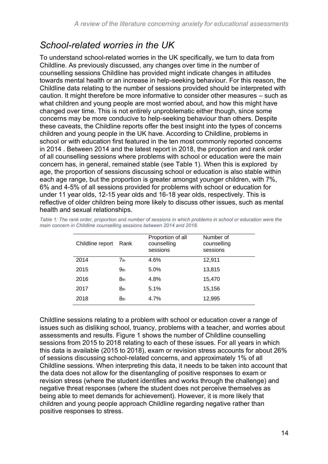### *School-related worries in the UK*

To understand school-related worries in the UK specifically, we turn to data from Childline. As previously discussed, any changes over time in the number of counselling sessions Childline has provided might indicate changes in attitudes towards mental health or an increase in help-seeking behaviour. For this reason, the Childline data relating to the number of sessions provided should be interpreted with caution. It might therefore be more informative to consider other measures – such as what children and young people are most worried about, and how this might have changed over time. This is not entirely unproblematic either though, since some concerns may be more conducive to help-seeking behaviour than others. Despite these caveats, the Childline reports offer the best insight into the types of concerns children and young people in the UK have. According to Childline, problems in school or with education first featured in the ten most commonly reported concerns in 2014 . Between 2014 and the latest report in 2018, the proportion and rank order of all counselling sessions where problems with school or education were the main concern has, in general, remained stable (see Table 1). When this is explored by age, the proportion of sessions discussing school or education is also stable within each age range, but the proportion is greater amongst younger children, with 7%, 6% and 4-5% of all sessions provided for problems with school or education for under 11 year olds, 12-15 year olds and 16-18 year olds, respectively. This is reflective of older children being more likely to discuss other issues, such as mental health and sexual relationships.

| Childline report | Rank            | Proportion of all<br>counselling<br>sessions | Number of<br>counselling<br>sessions |
|------------------|-----------------|----------------------------------------------|--------------------------------------|
| 2014             | 7 <sub>th</sub> | 4.6%                                         | 12,911                               |
| 2015             | 9 <sub>th</sub> | 5.0%                                         | 13,815                               |
| 2016             | 8th             | 4.8%                                         | 15,470                               |
| 2017             | 8th             | 5.1%                                         | 15,156                               |
| 2018             | 8 <sub>th</sub> | 4.7%                                         | 12,995                               |

*Table 1: The rank order, proportion and number of sessions in which problems in school or education were the main concern in Childline counselling sessions between 2014 and 2018.*

Childline sessions relating to a problem with school or education cover a range of issues such as disliking school, truancy, problems with a teacher, and worries about assessments and results. Figure 1 shows the number of Childline counselling sessions from 2015 to 2018 relating to each of these issues. For all years in which this data is available (2015 to 2018), exam or revision stress accounts for about 26% of sessions discussing school-related concerns, and approximately 1% of all Childline sessions. When interpreting this data, it needs to be taken into account that the data does not allow for the disentangling of positive responses to exam or revision stress (where the student identifies and works through the challenge) and negative threat responses (where the student does not perceive themselves as being able to meet demands for achievement). However, it is more likely that children and young people approach Childline regarding negative rather than positive responses to stress.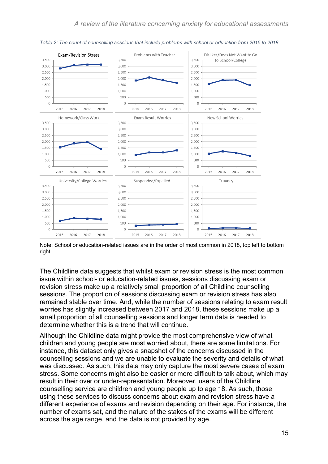

*Table 2: The count of counselling sessions that include problems with school or education from 2015 to 2018.*

Note: School or education-related issues are in the order of most common in 2018, top left to bottom right.

The Childline data suggests that whilst exam or revision stress is the most common issue within school- or education-related issues, sessions discussing exam or revision stress make up a relatively small proportion of all Childline counselling sessions. The proportion of sessions discussing exam or revision stress has also remained stable over time. And, while the number of sessions relating to exam result worries has slightly increased between 2017 and 2018, these sessions make up a small proportion of all counselling sessions and longer term data is needed to determine whether this is a trend that will continue.

Although the Childline data might provide the most comprehensive view of what children and young people are most worried about, there are some limitations. For instance, this dataset only gives a snapshot of the concerns discussed in the counselling sessions and we are unable to evaluate the severity and details of what was discussed. As such, this data may only capture the most severe cases of exam stress. Some concerns might also be easier or more difficult to talk about, which may result in their over or under-representation. Moreover, users of the Childline counselling service are children and young people up to age 18. As such, those using these services to discuss concerns about exam and revision stress have a different experience of exams and revision depending on their age. For instance, the number of exams sat, and the nature of the stakes of the exams will be different across the age range, and the data is not provided by age.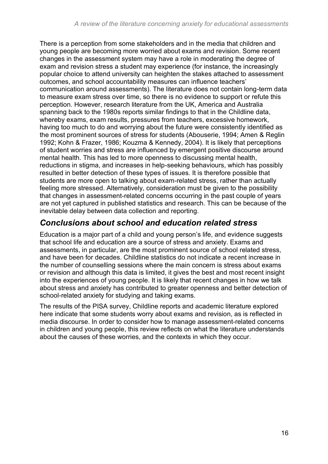There is a perception from some stakeholders and in the media that children and young people are becoming more worried about exams and revision. Some recent changes in the assessment system may have a role in moderating the degree of exam and revision stress a student may experience (for instance, the increasingly popular choice to attend university can heighten the stakes attached to assessment outcomes, and school accountability measures can influence teachers' communication around assessments). The literature does not contain long-term data to measure exam stress over time, so there is no evidence to support or refute this perception. However, research literature from the UK, America and Australia spanning back to the 1980s reports similar findings to that in the Childline data, whereby exams, exam results, pressures from teachers, excessive homework, having too much to do and worrying about the future were consistently identified as the most prominent sources of stress for students (Abouserie, 1994; Amen & Reglin 1992; Kohn & Frazer, 1986; Kouzma & Kennedy, 2004). It is likely that perceptions of student worries and stress are influenced by emergent positive discourse around mental health. This has led to more openness to discussing mental health, reductions in stigma, and increases in help-seeking behaviours, which has possibly resulted in better detection of these types of issues. It is therefore possible that students are more open to talking about exam-related stress, rather than actually feeling more stressed. Alternatively, consideration must be given to the possibility that changes in assessment-related concerns occurring in the past couple of years are not yet captured in published statistics and research. This can be because of the inevitable delay between data collection and reporting.

#### *Conclusions about school and education related stress*

Education is a major part of a child and young person's life, and evidence suggests that school life and education are a source of stress and anxiety. Exams and assessments, in particular, are the most prominent source of school related stress, and have been for decades. Childline statistics do not indicate a recent increase in the number of counselling sessions where the main concern is stress about exams or revision and although this data is limited, it gives the best and most recent insight into the experiences of young people. It is likely that recent changes in how we talk about stress and anxiety has contributed to greater openness and better detection of school-related anxiety for studying and taking exams.

The results of the PISA survey, Childline reports and academic literature explored here indicate that some students worry about exams and revision, as is reflected in media discourse. In order to consider how to manage assessment-related concerns in children and young people, this review reflects on what the literature understands about the causes of these worries, and the contexts in which they occur.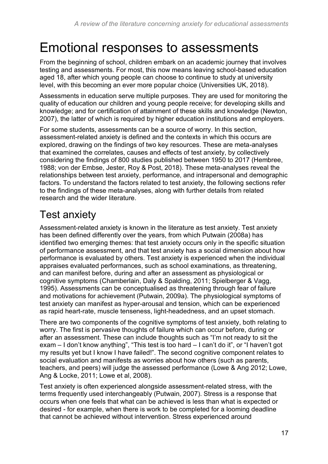# <span id="page-16-0"></span>Emotional responses to assessments

From the beginning of school, children embark on an academic journey that involves testing and assessments. For most, this now means leaving school-based education aged 18, after which young people can choose to continue to study at university level, with this becoming an ever more popular choice (Universities UK, 2018).

Assessments in education serve multiple purposes. They are used for monitoring the quality of education our children and young people receive; for developing skills and knowledge; and for certification of attainment of these skills and knowledge (Newton, 2007), the latter of which is required by higher education institutions and employers.

For some students, assessments can be a source of worry. In this section, assessment-related anxiety is defined and the contexts in which this occurs are explored, drawing on the findings of two key resources. These are meta-analyses that examined the correlates, causes and effects of test anxiety, by collectively considering the findings of 800 studies published between 1950 to 2017 (Hembree, 1988; von der Embse, Jester, Roy & Post, 2018). These meta-analyses reveal the relationships between test anxiety, performance, and intrapersonal and demographic factors. To understand the factors related to test anxiety, the following sections refer to the findings of these meta-analyses, along with further details from related research and the wider literature.

# <span id="page-16-1"></span>Test anxiety

Assessment-related anxiety is known in the literature as test anxiety. Test anxiety has been defined differently over the years, from which Putwain (2008a) has identified two emerging themes: that test anxiety occurs only in the specific situation of performance assessment, and that test anxiety has a social dimension about how performance is evaluated by others. Test anxiety is experienced when the individual appraises evaluated performances, such as school examinations, as threatening, and can manifest before, during and after an assessment as physiological or cognitive symptoms (Chamberlain, Daly & Spalding, 2011; Spielberger & Vagg, 1995). Assessments can be conceptualised as threatening through fear of failure and motivations for achievement (Putwain, 2009a). The physiological symptoms of test anxiety can manifest as hyper-arousal and tension, which can be experienced as rapid heart-rate, muscle tenseness, light-headedness, and an upset stomach.

There are two components of the cognitive symptoms of test anxiety, both relating to worry. The first is pervasive thoughts of failure which can occur before, during or after an assessment. These can include thoughts such as "I'm not ready to sit the exam – I don't know anything", "This test is too hard – I can't do it", or "I haven't got my results yet but I know I have failed!". The second cognitive component relates to social evaluation and manifests as worries about how others (such as parents, teachers, and peers) will judge the assessed performance (Lowe & Ang 2012; Lowe, Ang & Locke, 2011; Lowe et al, 2008).

Test anxiety is often experienced alongside assessment-related stress, with the terms frequently used interchangeably (Putwain, 2007). Stress is a response that occurs when one feels that what can be achieved is less than what is expected or desired - for example, when there is work to be completed for a looming deadline that cannot be achieved without intervention. Stress experienced around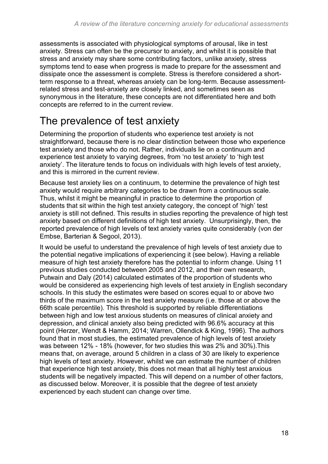assessments is associated with physiological symptoms of arousal, like in test anxiety. Stress can often be the precursor to anxiety, and whilst it is possible that stress and anxiety may share some contributing factors, unlike anxiety, stress symptoms tend to ease when progress is made to prepare for the assessment and dissipate once the assessment is complete. Stress is therefore considered a shortterm response to a threat, whereas anxiety can be long-term. Because assessmentrelated stress and test-anxiety are closely linked, and sometimes seen as synonymous in the literature, these concepts are not differentiated here and both concepts are referred to in the current review.

# <span id="page-17-0"></span>The prevalence of test anxiety

Determining the proportion of students who experience test anxiety is not straightforward, because there is no clear distinction between those who experience test anxiety and those who do not. Rather, individuals lie on a continuum and experience test anxiety to varying degrees, from 'no test anxiety' to 'high test anxiety'. The literature tends to focus on individuals with high levels of test anxiety, and this is mirrored in the current review.

Because test anxiety lies on a continuum, to determine the prevalence of high test anxiety would require arbitrary categories to be drawn from a continuous scale. Thus, whilst it might be meaningful in practice to determine the proportion of students that sit within the high test anxiety category, the concept of 'high' test anxiety is still not defined. This results in studies reporting the prevalence of high test anxiety based on different definitions of high test anxiety. Unsurprisingly, then, the reported prevalence of high levels of text anxiety varies quite considerably (von der Embse, Barterian & Segool, 2013).

It would be useful to understand the prevalence of high levels of test anxiety due to the potential negative implications of experiencing it (see below). Having a reliable measure of high test anxiety therefore has the potential to inform change. Using 11 previous studies conducted between 2005 and 2012, and their own research, Putwain and Daly (2014) calculated estimates of the proportion of students who would be considered as experiencing high levels of test anxiety in English secondary schools. In this study the estimates were based on scores equal to or above two thirds of the maximum score in the test anxiety measure (i.e. those at or above the 66th scale percentile). This threshold is supported by reliable differentiations between high and low test anxious students on measures of clinical anxiety and depression, and clinical anxiety also being predicted with 96.6% accuracy at this point (Herzer, Wendt & Hamm, 2014; Warren, Ollendick & King, 1996). The authors found that in most studies, the estimated prevalence of high levels of test anxiety was between 12% - 18% (however, for two studies this was 2% and 30%).This means that, on average, around 5 children in a class of 30 are likely to experience high levels of test anxiety. However, whilst we can estimate the number of children that experience high test anxiety, this does not mean that all highly test anxious students will be negatively impacted. This will depend on a number of other factors, as discussed below. Moreover, it is possible that the degree of test anxiety experienced by each student can change over time.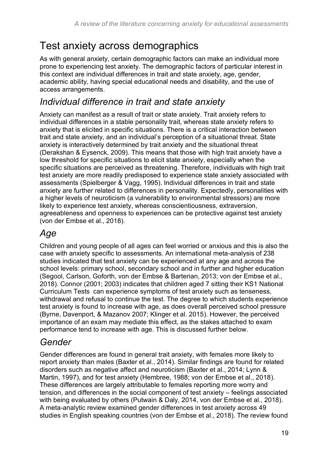# <span id="page-18-0"></span>Test anxiety across demographics

As with general anxiety, certain demographic factors can make an individual more prone to experiencing test anxiety. The demographic factors of particular interest in this context are individual differences in trait and state anxiety, age, gender, academic ability, having special educational needs and disability, and the use of access arrangements.

### *Individual difference in trait and state anxiety*

Anxiety can manifest as a result of trait or state anxiety. Trait anxiety refers to individual differences in a stable personality trait, whereas state anxiety refers to anxiety that is elicited in specific situations. There is a critical interaction between trait and state anxiety, and an individual's perception of a situational threat. State anxiety is interactively determined by trait anxiety and the situational threat (Derakshan & Eysenck, 2009). This means that those with high trait anxiety have a low threshold for specific situations to elicit state anxiety, especially when the specific situations are perceived as threatening. Therefore, individuals with high trait test anxiety are more readily predisposed to experience state anxiety associated with assessments (Spielberger & Vagg, 1995). Individual differences in trait and state anxiety are further related to differences in personality. Expectedly, personalities with a higher levels of neuroticism (a vulnerability to environmental stressors) are more likely to experience test anxiety, whereas conscientiousness, extraversion, agreeableness and openness to experiences can be protective against test anxiety (von der Embse et al., 2018).

## *Age*

Children and young people of all ages can feel worried or anxious and this is also the case with anxiety specific to assessments. An international meta-analysis of 238 studies indicated that test anxiety can be experienced at any age and across the school levels: primary school, secondary school and in further and higher education (Segool, Carlson, Goforth, von der Embse & Barterian, 2013; von der Embse et al., 2018). Connor (2001; 2003) indicates that children aged 7 sitting their KS1 National Curriculum Tests can experience symptoms of test anxiety such as tenseness, withdrawal and refusal to continue the test. The degree to which students experience test anxiety is found to increase with age, as does overall perceived school pressure (Byrne, Davenport, & Mazanov 2007; Klinger et al. 2015). However, the perceived importance of an exam may mediate this effect, as the stakes attached to exam performance tend to increase with age. This is discussed further below.

### *Gender*

Gender differences are found in general trait anxiety, with females more likely to report anxiety than males (Baxter et al., 2014). Similar findings are found for related disorders such as negative affect and neuroticism (Baxter et al., 2014; Lynn & Martin, 1997), and for test anxiety (Hembree, 1988; von der Embse et al., 2018). These differences are largely attributable to females reporting more worry and tension, and differences in the social component of test anxiety – feelings associated with being evaluated by others (Putwain & Daly, 2014, von der Embse et al., 2018). A meta-analytic review examined gender differences in test anxiety across 49 studies in English speaking countries (von der Embse et al., 2018). The review found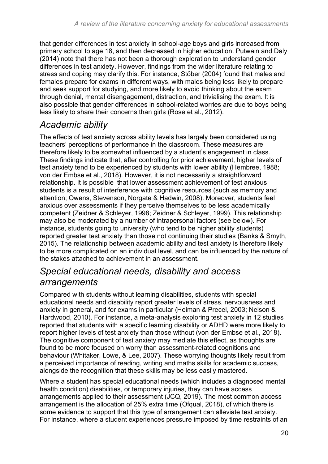that gender differences in test anxiety in school-age boys and girls increased from primary school to age 18, and then decreased in higher education. Putwain and Daly (2014) note that there has not been a thorough exploration to understand gender differences in test anxiety. However, findings from the wider literature relating to stress and coping may clarify this. For instance, Stöber (2004) found that males and females prepare for exams in different ways, with males being less likely to prepare and seek support for studying, and more likely to avoid thinking about the exam through denial, mental disengagement, distraction, and trivialising the exam. It is also possible that gender differences in school-related worries are due to boys being less likely to share their concerns than girls (Rose et al., 2012).

### *Academic ability*

The effects of test anxiety across ability levels has largely been considered using teachers' perceptions of performance in the classroom. These measures are therefore likely to be somewhat influenced by a student's engagement in class. These findings indicate that, after controlling for prior achievement, higher levels of test anxiety tend to be experienced by students with lower ability (Hembree, 1988; von der Embse et al., 2018). However, it is not necessarily a straightforward relationship. It is possible that lower assessment achievement of test anxious students is a result of interference with cognitive resources (such as memory and attention; Owens, Stevenson, Norgate & Hadwin, 2008). Moreover, students feel anxious over assessments if they perceive themselves to be less academically competent (Zeidner & Schleyer, 1998; Zeidner & Schleyer, 1999). This relationship may also be moderated by a number of intrapersonal factors (see below). For instance, students going to university (who tend to be higher ability students) reported greater test anxiety than those not continuing their studies (Banks & Smyth, 2015). The relationship between academic ability and test anxiety is therefore likely to be more complicated on an individual level, and can be influenced by the nature of the stakes attached to achievement in an assessment.

### *Special educational needs, disability and access arrangements*

Compared with students without learning disabilities, students with special educational needs and disability report greater levels of stress, nervousness and anxiety in general, and for exams in particular (Heiman & Precel, 2003; Nelson & Hardwood, 2010). For instance, a meta-analysis exploring test anxiety in 12 studies reported that students with a specific learning disability or ADHD were more likely to report higher levels of test anxiety than those without (von der Embse et al., 2018). The cognitive component of test anxiety may mediate this effect, as thoughts are found to be more focused on worry than assessment-related cognitions and behaviour (Whitaker, Lowe, & Lee, 2007). These worrying thoughts likely result from a perceived importance of reading, writing and maths skills for academic success, alongside the recognition that these skills may be less easily mastered.

Where a student has special educational needs (which includes a diagnosed mental health condition) disabilities, or temporary injuries, they can have access arrangements applied to their assessment (JCQ, 2019). The most common access arrangement is the allocation of 25% extra time (Ofqual, 2018), of which there is some evidence to support that this type of arrangement can alleviate test anxiety. For instance, where a student experiences pressure imposed by time restraints of an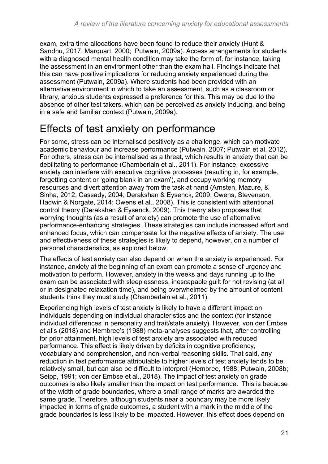exam, extra time allocations have been found to reduce their anxiety (Hunt & Sandhu, 2017; Marquart, 2000; Putwain, 2009a). Access arrangements for students with a diagnosed mental health condition may take the form of, for instance, taking the assessment in an environment other than the exam hall. Findings indicate that this can have positive implications for reducing anxiety experienced during the assessment (Putwain, 2009a). Where students had been provided with an alternative environment in which to take an assessment, such as a classroom or library, anxious students expressed a preference for this. This may be due to the absence of other test takers, which can be perceived as anxiety inducing, and being in a safe and familiar context (Putwain, 2009a).

# <span id="page-20-0"></span>Effects of test anxiety on performance

For some, stress can be internalised positively as a challenge, which can motivate academic behaviour and increase performance (Putwain, 2007; Putwain et al, 2012). For others, stress can be internalised as a threat, which results in anxiety that can be debilitating to performance (Chamberlain et al., 2011). For instance, excessive anxiety can interfere with executive cognitive processes (resulting in, for example, forgetting content or 'going blank in an exam'), and occupy working memory resources and divert attention away from the task at hand (Arnsten, Mazure, & Sinha, 2012; Cassady, 2004; Derakshan & Eysenck, 2009; Owens, Stevenson, Hadwin & Norgate, 2014; Owens et al., 2008). This is consistent with attentional control theory (Derakshan & Eysenck, 2009). This theory also proposes that worrying thoughts (as a result of anxiety) can promote the use of alternative performance-enhancing strategies. These strategies can include increased effort and enhanced focus, which can compensate for the negative effects of anxiety. The use and effectiveness of these strategies is likely to depend, however, on a number of personal characteristics, as explored below.

The effects of test anxiety can also depend on when the anxiety is experienced. For instance, anxiety at the beginning of an exam can promote a sense of urgency and motivation to perform. However, anxiety in the weeks and days running up to the exam can be associated with sleeplessness, inescapable guilt for not revising (at all or in designated relaxation time), and being overwhelmed by the amount of content students think they must study (Chamberlain et al., 2011).

Experiencing high levels of test anxiety is likely to have a different impact on individuals depending on individual characteristics and the context (for instance individual differences in personality and trait/state anxiety). However, von der Embse et al's (2018) and Hembree's (1988) meta-analyses suggests that, after controlling for prior attainment, high levels of test anxiety are associated with reduced performance. This effect is likely driven by deficits in cognitive proficiency, vocabulary and comprehension, and non-verbal reasoning skills. That said, any reduction in test performance attributable to higher levels of test anxiety tends to be relatively small, but can also be difficult to interpret (Hembree, 1988; Putwain, 2008b; Seipp, 1991; von der Embse et al., 2018). The impact of test anxiety on grade outcomes is also likely smaller than the impact on test performance. This is because of the width of grade boundaries, where a small range of marks are awarded the same grade. Therefore, although students near a boundary may be more likely impacted in terms of grade outcomes, a student with a mark in the middle of the grade boundaries is less likely to be impacted. However, this effect does depend on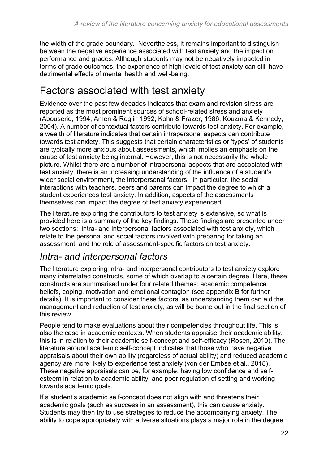the width of the grade boundary. Nevertheless, it remains important to distinguish between the negative experience associated with test anxiety and the impact on performance and grades. Although students may not be negatively impacted in terms of grade outcomes, the experience of high levels of test anxiety can still have detrimental effects of mental health and well-being.

# <span id="page-21-0"></span>Factors associated with test anxiety

Evidence over the past few decades indicates that exam and revision stress are reported as the most prominent sources of school-related stress and anxiety (Abouserie, 1994; Amen & Reglin 1992; Kohn & Frazer, 1986; Kouzma & Kennedy, 2004). A number of contextual factors contribute towards test anxiety. For example, a wealth of literature indicates that certain intrapersonal aspects can contribute towards test anxiety. This suggests that certain characteristics or 'types' of students are typically more anxious about assessments, which implies an emphasis on the cause of test anxiety being internal. However, this is not necessarily the whole picture. Whilst there are a number of intrapersonal aspects that are associated with test anxiety, there is an increasing understanding of the influence of a student's wider social environment, the interpersonal factors. In particular, the social interactions with teachers, peers and parents can impact the degree to which a student experiences test anxiety. In addition, aspects of the assessments themselves can impact the degree of test anxiety experienced.

The literature exploring the contributors to test anxiety is extensive, so what is provided here is a summary of the key findings. These findings are presented under two sections: intra- and interpersonal factors associated with test anxiety, which relate to the personal and social factors involved with preparing for taking an assessment; and the role of assessment-specific factors on test anxiety.

### *Intra- and interpersonal factors*

The literature exploring intra- and interpersonal contributors to test anxiety explore many interrelated constructs, some of which overlap to a certain degree. Here, these constructs are summarised under four related themes: academic competence beliefs, coping, motivation and emotional contagion (see appendix B for further details). It is important to consider these factors, as understanding them can aid the management and reduction of test anxiety, as will be borne out in the final section of this review.

People tend to make evaluations about their competencies throughout life. This is also the case in academic contexts. When students appraise their academic ability, this is in relation to their academic self-concept and self-efficacy (Rosen, 2010). The literature around academic self-concept indicates that those who have negative appraisals about their own ability (regardless of actual ability) and reduced academic agency are more likely to experience test anxiety (von der Embse et al., 2018). These negative appraisals can be, for example, having low confidence and selfesteem in relation to academic ability, and poor regulation of setting and working towards academic goals.

If a student's academic self-concept does not align with and threatens their academic goals (such as success in an assessment), this can cause anxiety. Students may then try to use strategies to reduce the accompanying anxiety. The ability to cope appropriately with adverse situations plays a major role in the degree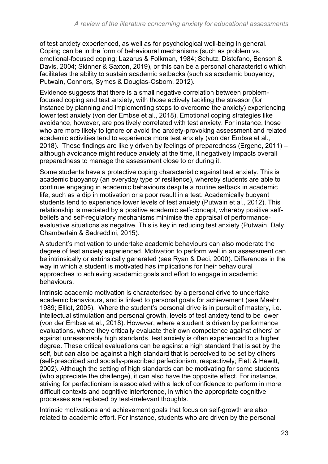of test anxiety experienced, as well as for psychological well-being in general. Coping can be in the form of behavioural mechanisms (such as problem vs. emotional-focused coping; Lazarus & Folkman, 1984; Schutz, Distefano, Benson & Davis, 2004; Skinner & Saxton, 2019), or this can be a personal characteristic which facilitates the ability to sustain academic setbacks (such as academic buoyancy; Putwain, Connors, Symes & Douglas-Osborn, 2012).

Evidence suggests that there is a small negative correlation between problemfocused coping and test anxiety, with those actively tackling the stressor (for instance by planning and implementing steps to overcome the anxiety) experiencing lower test anxiety (von der Embse et al., 2018). Emotional coping strategies like avoidance, however, are positively correlated with test anxiety. For instance, those who are more likely to ignore or avoid the anxiety-provoking assessment and related academic activities tend to experience more test anxiety (von der Embse et al., 2018). These findings are likely driven by feelings of preparedness (Ergene, 2011) – although avoidance might reduce anxiety at the time, it negatively impacts overall preparedness to manage the assessment close to or during it.

Some students have a protective coping characteristic against test anxiety. This is academic buoyancy (an everyday type of resilience), whereby students are able to continue engaging in academic behaviours despite a routine setback in academic life, such as a dip in motivation or a poor result in a test. Academically buoyant students tend to experience lower levels of test anxiety (Putwain et al., 2012). This relationship is mediated by a positive academic self-concept, whereby positive selfbeliefs and self-regulatory mechanisms minimise the appraisal of performanceevaluative situations as negative. This is key in reducing test anxiety (Putwain, Daly, Chamberlain & Sadreddini, 2015).

A student's motivation to undertake academic behaviours can also moderate the degree of test anxiety experienced. Motivation to perform well in an assessment can be intrinsically or extrinsically generated (see Ryan & Deci, 2000). Differences in the way in which a student is motivated has implications for their behavioural approaches to achieving academic goals and effort to engage in academic behaviours.

Intrinsic academic motivation is characterised by a personal drive to undertake academic behaviours, and is linked to personal goals for achievement (see Maehr, 1989; Elliot, 2005). Where the student's personal drive is in pursuit of mastery, i.e. intellectual stimulation and personal growth, levels of test anxiety tend to be lower (von der Embse et al., 2018). However, where a student is driven by performance evaluations, where they critically evaluate their own competence against others' or against unreasonably high standards, test anxiety is often experienced to a higher degree. These critical evaluations can be against a high standard that is set by the self, but can also be against a high standard that is perceived to be set by others (self-prescribed and socially-prescribed perfectionism, respectively; Flett & Hewitt, 2002). Although the setting of high standards can be motivating for some students (who appreciate the challenge), it can also have the opposite effect. For instance, striving for perfectionism is associated with a lack of confidence to perform in more difficult contexts and cognitive interference, in which the appropriate cognitive processes are replaced by test-irrelevant thoughts.

Intrinsic motivations and achievement goals that focus on self-growth are also related to academic effort. For instance, students who are driven by the personal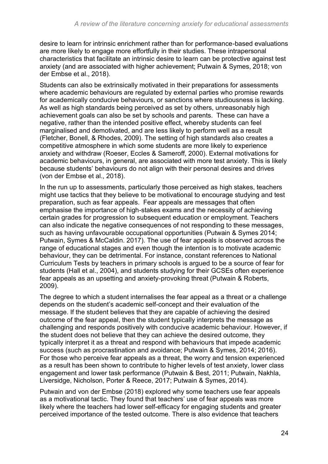desire to learn for intrinsic enrichment rather than for performance-based evaluations are more likely to engage more effortfully in their studies. These intrapersonal characteristics that facilitate an intrinsic desire to learn can be protective against test anxiety (and are associated with higher achievement; Putwain & Symes, 2018; von der Embse et al., 2018).

Students can also be extrinsically motivated in their preparations for assessments where academic behaviours are regulated by external parties who promise rewards for academically conducive behaviours, or sanctions where studiousness is lacking. As well as high standards being perceived as set by others, unreasonably high achievement goals can also be set by schools and parents. These can have a negative, rather than the intended positive effect, whereby students can feel marginalised and demotivated, and are less likely to perform well as a result (Fletcher, Bonell, & Rhodes, 2009). The setting of high standards also creates a competitive atmosphere in which some students are more likely to experience anxiety and withdraw (Roeser, Eccles & Sameroff, 2000). External motivations for academic behaviours, in general, are associated with more test anxiety. This is likely because students' behaviours do not align with their personal desires and drives (von der Embse et al., 2018).

In the run up to assessments, particularly those perceived as high stakes, teachers might use tactics that they believe to be motivational to encourage studying and test preparation, such as fear appeals. Fear appeals are messages that often emphasise the importance of high-stakes exams and the necessity of achieving certain grades for progression to subsequent education or employment. Teachers can also indicate the negative consequences of not responding to these messages, such as having unfavourable occupational opportunities (Putwain & Symes 2014; Putwain, Symes & McCaldin. 2017). The use of fear appeals is observed across the range of educational stages and even though the intention is to motivate academic behaviour, they can be detrimental. For instance, constant references to National Curriculum Tests by teachers in primary schools is argued to be a source of fear for students (Hall et al., 2004), and students studying for their GCSEs often experience fear appeals as an upsetting and anxiety-provoking threat (Putwain & Roberts, 2009).

The degree to which a student internalises the fear appeal as a threat or a challenge depends on the student's academic self-concept and their evaluation of the message. If the student believes that they are capable of achieving the desired outcome of the fear appeal, then the student typically interprets the message as challenging and responds positively with conducive academic behaviour. However, if the student does not believe that they can achieve the desired outcome, they typically interpret it as a threat and respond with behaviours that impede academic success (such as procrastination and avoidance; Putwain & Symes, 2014; 2016). For those who perceive fear appeals as a threat, the worry and tension experienced as a result has been shown to contribute to higher levels of test anxiety, lower class engagement and lower task performance (Putwain & Best, 2011; Putwain, Nakhla, Liversidge, Nicholson, Porter & Reece, 2017; Putwain & Symes, 2014).

Putwain and von der Embse (2018) explored why some teachers use fear appeals as a motivational tactic. They found that teachers' use of fear appeals was more likely where the teachers had lower self-efficacy for engaging students and greater perceived importance of the tested outcome. There is also evidence that teachers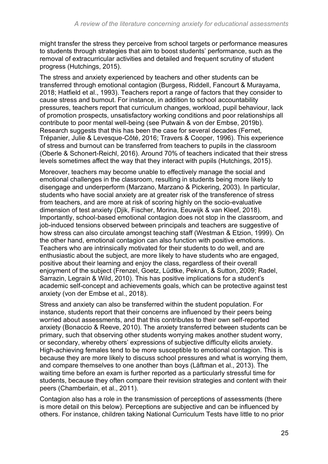might transfer the stress they perceive from school targets or performance measures to students through strategies that aim to boost students' performance, such as the removal of extracurricular activities and detailed and frequent scrutiny of student progress (Hutchings, 2015).

The stress and anxiety experienced by teachers and other students can be transferred through emotional contagion (Burgess, Riddell, Fancourt & Murayama, 2018; Hatfield et al., 1993). Teachers report a range of factors that they consider to cause stress and burnout. For instance, in addition to school accountability pressures, teachers report that curriculum changes, workload, pupil behaviour, lack of promotion prospects, unsatisfactory working conditions and poor relationships all contribute to poor mental well-being (see Putwain & von der Embse, 2019b). Research suggests that this has been the case for several decades (Fernet, Trépanier, Julie & Levesque-Côté, 2016; Travers & Cooper, 1996). This experience of stress and burnout can be transferred from teachers to pupils in the classroom (Oberle & Schonert-Reichl, 2016). Around 70% of teachers indicated that their stress levels sometimes affect the way that they interact with pupils (Hutchings, 2015).

Moreover, teachers may become unable to effectively manage the social and emotional challenges in the classroom, resulting in students being more likely to disengage and underperform (Marzano, Marzano & Pickering, 2003). In particular, students who have social anxiety are at greater risk of the transference of stress from teachers, and are more at risk of scoring highly on the socio-evaluative dimension of test anxiety (Djik, Fischer, Morina, Eeuwijk & van Kleef, 2018). Importantly, school-based emotional contagion does not stop in the classroom, and job-induced tensions observed between principals and teachers are suggestive of how stress can also circulate amongst teaching staff (Westman & Etzion, 1999). On the other hand, emotional contagion can also function with positive emotions. Teachers who are intrinsically motivated for their students to do well, and are enthusiastic about the subject, are more likely to have students who are engaged, positive about their learning and enjoy the class, regardless of their overall enjoyment of the subject (Frenzel, Goetz, Lüdtke, Pekrun, & Sutton, 2009; Radel, Sarrazin, Legrain & Wild, 2010). This has positive implications for a student's academic self-concept and achievements goals, which can be protective against test anxiety (von der Embse et al., 2018).

Stress and anxiety can also be transferred within the student population. For instance, students report that their concerns are influenced by their peers being worried about assessments, and that this contributes to their own self-reported anxiety (Bonaccio & Reeve, 2010). The anxiety transferred between students can be primary, such that observing other students worrying makes another student worry, or secondary, whereby others' expressions of subjective difficulty elicits anxiety. High-achieving females tend to be more susceptible to emotional contagion. This is because they are more likely to discuss school pressures and what is worrying them, and compare themselves to one another than boys (Låftman et al., 2013). The waiting time before an exam is further reported as a particularly stressful time for students, because they often compare their revision strategies and content with their peers (Chamberlain, et al., 2011).

Contagion also has a role in the transmission of perceptions of assessments (there is more detail on this below). Perceptions are subjective and can be influenced by others. For instance, children taking National Curriculum Tests have little to no prior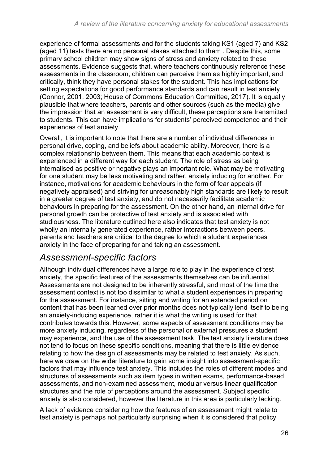experience of formal assessments and for the students taking KS1 (aged 7) and KS2 (aged 11) tests there are no personal stakes attached to them . Despite this, some primary school children may show signs of stress and anxiety related to these assessments. Evidence suggests that, where teachers continuously reference these assessments in the classroom, children can perceive them as highly important, and critically, think they have personal stakes for the student. This has implications for setting expectations for good performance standards and can result in test anxiety (Connor, 2001, 2003; House of Commons Education Committee, 2017). It is equally plausible that where teachers, parents and other sources (such as the media) give the impression that an assessment is very difficult, these perceptions are transmitted to students. This can have implications for students' perceived competence and their experiences of test anxiety.

Overall, it is important to note that there are a number of individual differences in personal drive, coping, and beliefs about academic ability. Moreover, there is a complex relationship between them. This means that each academic context is experienced in a different way for each student. The role of stress as being internalised as positive or negative plays an important role. What may be motivating for one student may be less motivating and rather, anxiety inducing for another. For instance, motivations for academic behaviours in the form of fear appeals (if negatively appraised) and striving for unreasonably high standards are likely to result in a greater degree of test anxiety, and do not necessarily facilitate academic behaviours in preparing for the assessment. On the other hand, an internal drive for personal growth can be protective of test anxiety and is associated with studiousness. The literature outlined here also indicates that test anxiety is not wholly an internally generated experience, rather interactions between peers, parents and teachers are critical to the degree to which a student experiences anxiety in the face of preparing for and taking an assessment.

### *Assessment-specific factors*

Although individual differences have a large role to play in the experience of test anxiety, the specific features of the assessments themselves can be influential. Assessments are not designed to be inherently stressful, and most of the time the assessment context is not too dissimilar to what a student experiences in preparing for the assessment. For instance, sitting and writing for an extended period on content that has been learned over prior months does not typically lend itself to being an anxiety-inducing experience, rather it is what the writing is used for that contributes towards this. However, some aspects of assessment conditions may be more anxiety inducing, regardless of the personal or external pressures a student may experience, and the use of the assessment task. The test anxiety literature does not tend to focus on these specific conditions, meaning that there is little evidence relating to how the design of assessments may be related to test anxiety. As such, here we draw on the wider literature to gain some insight into assessment-specific factors that may influence test anxiety. This includes the roles of different modes and structures of assessments such as item types in written exams, performance-based assessments, and non-examined assessment, modular versus linear qualification structures and the role of perceptions around the assessment. Subject specific anxiety is also considered, however the literature in this area is particularly lacking.

A lack of evidence considering how the features of an assessment might relate to test anxiety is perhaps not particularly surprising when it is considered that policy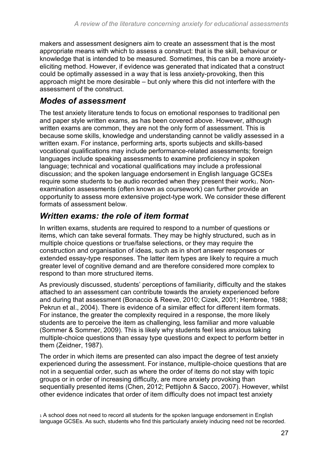makers and assessment designers aim to create an assessment that is the most appropriate means with which to assess a construct: that is the skill, behaviour or knowledge that is intended to be measured. Sometimes, this can be a more anxietyeliciting method. However, if evidence was generated that indicated that a construct could be optimally assessed in a way that is less anxiety-provoking, then this approach might be more desirable – but only where this did not interfere with the assessment of the construct.

#### *Modes of assessment*

The test anxiety literature tends to focus on emotional responses to traditional pen and paper style written exams, as has been covered above. However, although written exams are common, they are not the only form of assessment. This is because some skills, knowledge and understanding cannot be validly assessed in a written exam. For instance, performing arts, sports subjects and skills-based vocational qualifications may include performance-related assessments; foreign languages include speaking assessments to examine proficiency in spoken language; technical and vocational qualifications may include a professional discussion; and the spoken language endorsement in English language GCSEs require some students to be audio recorded when they present their work1. Nonexamination assessments (often known as coursework) can further provide an opportunity to assess more extensive project-type work. We consider these different formats of assessment below.

#### *Written exams: the role of item format*

In written exams, students are required to respond to a number of questions or items, which can take several formats. They may be highly structured, such as in multiple choice questions or true/false selections, or they may require the construction and organisation of ideas, such as in short answer responses or extended essay-type responses. The latter item types are likely to require a much greater level of cognitive demand and are therefore considered more complex to respond to than more structured items.

As previously discussed, students' perceptions of familiarity, difficulty and the stakes attached to an assessment can contribute towards the anxiety experienced before and during that assessment (Bonaccio & Reeve, 2010; Cizek, 2001; Hembree, 1988; Pekrun et al., 2004). There is evidence of a similar effect for different item formats. For instance, the greater the complexity required in a response, the more likely students are to perceive the item as challenging, less familiar and more valuable (Sommer & Sommer, 2009). This is likely why students feel less anxious taking multiple-choice questions than essay type questions and expect to perform better in them (Zeidner, 1987).

The order in which items are presented can also impact the degree of test anxiety experienced during the assessment. For instance, multiple-choice questions that are not in a sequential order, such as where the order of items do not stay with topic groups or in order of increasing difficulty, are more anxiety provoking than sequentially presented items (Chen, 2012; Pettijohn & Sacco, 2007). However, whilst other evidence indicates that order of item difficulty does not impact test anxiety

1 A school does not need to record all students for the spoken language endorsement in English language GCSEs. As such, students who find this particularly anxiety inducing need not be recorded.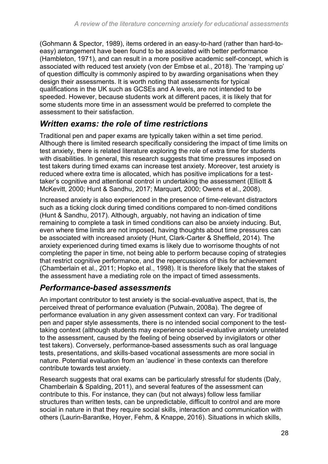(Gohmann & Spector, 1989), items ordered in an easy-to-hard (rather than hard-toeasy) arrangement have been found to be associated with better performance (Hambleton, 1971), and can result in a more positive academic self-concept, which is associated with reduced test anxiety (von der Embse et al., 2018). The 'ramping up' of question difficulty is commonly aspired to by awarding organisations when they design their assessments. It is worth noting that assessments for typical qualifications in the UK such as GCSEs and A levels, are not intended to be speeded. However, because students work at different paces, it is likely that for some students more time in an assessment would be preferred to complete the assessment to their satisfaction.

#### *Written exams: the role of time restrictions*

Traditional pen and paper exams are typically taken within a set time period. Although there is limited research specifically considering the impact of time limits on test anxiety, there is related literature exploring the role of extra time for students with disabilities. In general, this research suggests that time pressures imposed on test takers during timed exams can increase test anxiety. Moreover, test anxiety is reduced where extra time is allocated, which has positive implications for a testtaker's cognitive and attentional control in undertaking the assessment (Elliott & McKevitt, 2000; Hunt & Sandhu, 2017; Marquart, 2000; Owens et al., 2008).

Increased anxiety is also experienced in the presence of time-relevant distractors such as a ticking clock during timed conditions compared to non-timed conditions (Hunt & Sandhu, 2017). Although, arguably, not having an indication of time remaining to complete a task in timed conditions can also be anxiety inducing. But, even where time limits are not imposed, having thoughts about time pressures can be associated with increased anxiety (Hunt, Clark-Carter & Sheffield, 2014). The anxiety experienced during timed exams is likely due to worrisome thoughts of not completing the paper in time, not being able to perform because coping of strategies that restrict cognitive performance, and the repercussions of this for achievement (Chamberlain et al., 2011; Hopko et al., 1998). It is therefore likely that the stakes of the assessment have a mediating role on the impact of timed assessments.

#### *Performance-based assessments*

An important contributor to test anxiety is the social-evaluative aspect, that is, the perceived threat of performance evaluation (Putwain, 2008a). The degree of performance evaluation in any given assessment context can vary. For traditional pen and paper style assessments, there is no intended social component to the testtaking context (although students may experience social-evaluative anxiety unrelated to the assessment, caused by the feeling of being observed by invigilators or other test takers). Conversely, performance-based assessments such as oral language tests, presentations, and skills-based vocational assessments are more social in nature. Potential evaluation from an 'audience' in these contexts can therefore contribute towards test anxiety.

Research suggests that oral exams can be particularly stressful for students (Daly, Chamberlain & Spalding, 2011), and several features of the assessment can contribute to this. For instance, they can (but not always) follow less familiar structures than written tests, can be unpredictable, difficult to control and are more social in nature in that they require social skills, interaction and communication with others (Laurin-Barantke, Hoyer, Fehm, & Knappe, 2016). Situations in which skills,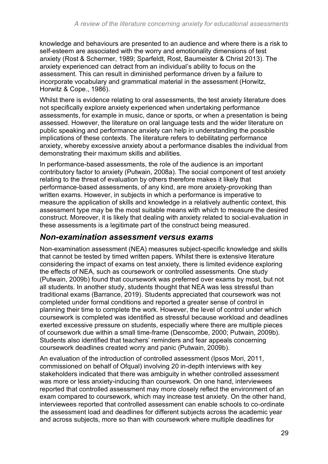knowledge and behaviours are presented to an audience and where there is a risk to self-esteem are associated with the worry and emotionality dimensions of test anxiety (Rost & Schermer, 1989; Sparfeldt, Rost, Baumeister & Christ 2013). The anxiety experienced can detract from an individual's ability to focus on the assessment. This can result in diminished performance driven by a failure to incorporate vocabulary and grammatical material in the assessment (Horwitz, Horwitz & Cope., 1986).

Whilst there is evidence relating to oral assessments, the test anxiety literature does not specifically explore anxiety experienced when undertaking performance assessments, for example in music, dance or sports, or when a presentation is being assessed. However, the literature on oral language tests and the wider literature on public speaking and performance anxiety can help in understanding the possible implications of these contexts. The literature refers to debilitating performance anxiety, whereby excessive anxiety about a performance disables the individual from demonstrating their maximum skills and abilities.

In performance-based assessments, the role of the audience is an important contributory factor to anxiety (Putwain, 2008a). The social component of test anxiety relating to the threat of evaluation by others therefore makes it likely that performance-based assessments, of any kind, are more anxiety-provoking than written exams. However, in subjects in which a performance is imperative to measure the application of skills and knowledge in a relatively authentic context, this assessment type may be the most suitable means with which to measure the desired construct. Moreover, it is likely that dealing with anxiety related to social-evaluation in these assessments is a legitimate part of the construct being measured.

#### *Non-examination assessment versus exams*

Non-examination assessment (NEA) measures subject-specific knowledge and skills that cannot be tested by timed written papers. Whilst there is extensive literature considering the impact of exams on test anxiety, there is limited evidence exploring the effects of NEA, such as coursework or controlled assessments. One study (Putwain, 2009b) found that coursework was preferred over exams by most, but not all students. In another study, students thought that NEA was less stressful than traditional exams (Barrance, 2019). Students appreciated that coursework was not completed under formal conditions and reported a greater sense of control in planning their time to complete the work. However, the level of control under which coursework is completed was identified as stressful because workload and deadlines exerted excessive pressure on students, especially where there are multiple pieces of coursework due within a small time-frame (Denscombe, 2000; Putwain, 2009b). Students also identified that teachers' reminders and fear appeals concerning coursework deadlines created worry and panic (Putwain, 2009b).

An evaluation of the introduction of controlled assessment (Ipsos Mori, 2011, commissioned on behalf of Ofqual) involving 20 in-depth interviews with key stakeholders indicated that there was ambiguity in whether controlled assessment was more or less anxiety-inducing than coursework. On one hand, interviewees reported that controlled assessment may more closely reflect the environment of an exam compared to coursework, which may increase test anxiety. On the other hand, interviewees reported that controlled assessment can enable schools to co-ordinate the assessment load and deadlines for different subjects across the academic year and across subjects, more so than with coursework where multiple deadlines for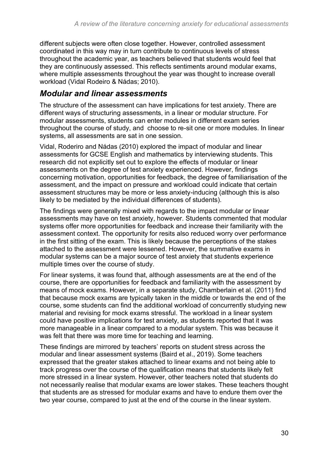different subjects were often close together. However, controlled assessment coordinated in this way may in turn contribute to continuous levels of stress throughout the academic year, as teachers believed that students would feel that they are continuously assessed. This reflects sentiments around modular exams, where multiple assessments throughout the year was thought to increase overall workload (Vidal Rodeiro & Nádas; 2010).

#### *Modular and linear assessments*

The structure of the assessment can have implications for test anxiety. There are different ways of structuring assessments, in a linear or modular structure. For modular assessments, students can enter modules in different exam series throughout the course of study, and choose to re-sit one or more modules. In linear systems, all assessments are sat in one session.

Vidal, Roderiro and Nádas (2010) explored the impact of modular and linear assessments for GCSE English and mathematics by interviewing students. This research did not explicitly set out to explore the effects of modular or linear assessments on the degree of test anxiety experienced. However, findings concerning motivation, opportunities for feedback, the degree of familiarisation of the assessment, and the impact on pressure and workload could indicate that certain assessment structures may be more or less anxiety-inducing (although this is also likely to be mediated by the individual differences of students).

The findings were generally mixed with regards to the impact modular or linear assessments may have on test anxiety, however. Students commented that modular systems offer more opportunities for feedback and increase their familiarity with the assessment context. The opportunity for resits also reduced worry over performance in the first sitting of the exam. This is likely because the perceptions of the stakes attached to the assessment were lessened. However, the summative exams in modular systems can be a major source of test anxiety that students experience multiple times over the course of study.

For linear systems, it was found that, although assessments are at the end of the course, there are opportunities for feedback and familiarity with the assessment by means of mock exams. However, in a separate study, Chamberlain et al. (2011) find that because mock exams are typically taken in the middle or towards the end of the course, some students can find the additional workload of concurrently studying new material and revising for mock exams stressful. The workload in a linear system could have positive implications for test anxiety, as students reported that it was more manageable in a linear compared to a modular system. This was because it was felt that there was more time for teaching and learning.

These findings are mirrored by teachers' reports on student stress across the modular and linear assessment systems (Baird et al., 2019). Some teachers expressed that the greater stakes attached to linear exams and not being able to track progress over the course of the qualification means that students likely felt more stressed in a linear system. However, other teachers noted that students do not necessarily realise that modular exams are lower stakes. These teachers thought that students are as stressed for modular exams and have to endure them over the two year course, compared to just at the end of the course in the linear system.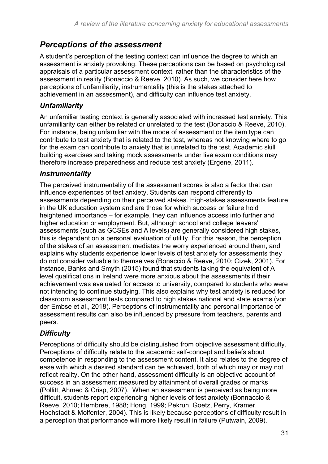#### *Perceptions of the assessment*

A student's perception of the testing context can influence the degree to which an assessment is anxiety provoking. These perceptions can be based on psychological appraisals of a particular assessment context, rather than the characteristics of the assessment in reality (Bonaccio & Reeve, 2010). As such, we consider here how perceptions of unfamiliarity, instrumentality (this is the stakes attached to achievement in an assessment), and difficulty can influence test anxiety.

#### *Unfamiliarity*

An unfamiliar testing context is generally associated with increased test anxiety. This unfamiliarity can either be related or unrelated to the test (Bonaccio & Reeve, 2010). For instance, being unfamiliar with the mode of assessment or the item type can contribute to test anxiety that is related to the test, whereas not knowing where to go for the exam can contribute to anxiety that is unrelated to the test. Academic skill building exercises and taking mock assessments under live exam conditions may therefore increase preparedness and reduce test anxiety (Ergene, 2011).

#### *Instrumentality*

The perceived instrumentality of the assessment scores is also a factor that can influence experiences of test anxiety. Students can respond differently to assessments depending on their perceived stakes. High-stakes assessments feature in the UK education system and are those for which success or failure hold heightened importance – for example, they can influence access into further and higher education or employment. But, although school and college leavers' assessments (such as GCSEs and A levels) are generally considered high stakes, this is dependent on a personal evaluation of utility. For this reason, the perception of the stakes of an assessment mediates the worry experienced around them, and explains why students experience lower levels of test anxiety for assessments they do not consider valuable to themselves (Bonaccio & Reeve, 2010; Cizek, 2001). For instance, Banks and Smyth (2015) found that students taking the equivalent of A level qualifications in Ireland were more anxious about the assessments if their achievement was evaluated for access to university, compared to students who were not intending to continue studying. This also explains why test anxiety is reduced for classroom assessment tests compared to high stakes national and state exams (von der Embse et al., 2018). Perceptions of instrumentality and personal importance of assessment results can also be influenced by pressure from teachers, parents and peers.

#### *Difficulty*

Perceptions of difficulty should be distinguished from objective assessment difficulty. Perceptions of difficulty relate to the academic self-concept and beliefs about competence in responding to the assessment content. It also relates to the degree of ease with which a desired standard can be achieved, both of which may or may not reflect reality. On the other hand, assessment difficulty is an objective account of success in an assessment measured by attainment of overall grades or marks (Pollitt, Ahmed & Crisp, 2007). When an assessment is perceived as being more difficult, students report experiencing higher levels of test anxiety (Bonnaccio & Reeve, 2010; Hembree, 1988; Hong, 1999; Pekrun, Goetz, Perry, Kramer, Hochstadt & Molfenter, 2004). This is likely because perceptions of difficulty result in a perception that performance will more likely result in failure (Putwain, 2009).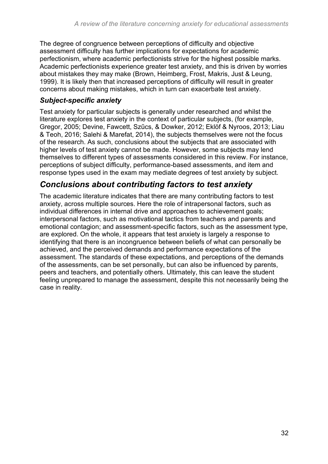The degree of congruence between perceptions of difficulty and objective assessment difficulty has further implications for expectations for academic perfectionism, where academic perfectionists strive for the highest possible marks. Academic perfectionists experience greater test anxiety, and this is driven by worries about mistakes they may make (Brown, Heimberg, Frost, Makris, Just & Leung, 1999). It is likely then that increased perceptions of difficulty will result in greater concerns about making mistakes, which in turn can exacerbate test anxiety.

#### *Subject-specific anxiety*

Test anxiety for particular subjects is generally under researched and whilst the literature explores test anxiety in the context of particular subjects, (for example, Gregor, 2005; Devine, Fawcett, Szűcs, & Dowker, 2012; Eklöf & Nyroos, 2013; Liau & Teoh, 2016; Salehi & Marefat, 2014), the subjects themselves were not the focus of the research. As such, conclusions about the subjects that are associated with higher levels of test anxiety cannot be made. However, some subjects may lend themselves to different types of assessments considered in this review. For instance, perceptions of subject difficulty, performance-based assessments, and item and response types used in the exam may mediate degrees of test anxiety by subject.

#### *Conclusions about contributing factors to test anxiety*

The academic literature indicates that there are many contributing factors to test anxiety, across multiple sources. Here the role of intrapersonal factors, such as individual differences in internal drive and approaches to achievement goals; interpersonal factors, such as motivational tactics from teachers and parents and emotional contagion; and assessment-specific factors, such as the assessment type, are explored. On the whole, it appears that test anxiety is largely a response to identifying that there is an incongruence between beliefs of what can personally be achieved, and the perceived demands and performance expectations of the assessment. The standards of these expectations, and perceptions of the demands of the assessments, can be set personally, but can also be influenced by parents, peers and teachers, and potentially others. Ultimately, this can leave the student feeling unprepared to manage the assessment, despite this not necessarily being the case in reality.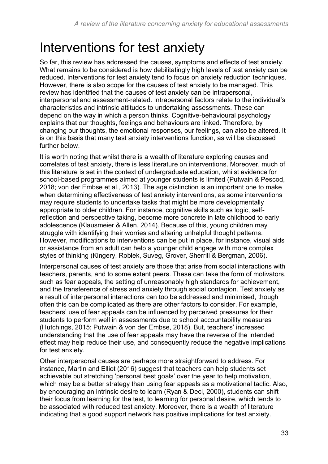# <span id="page-32-0"></span>Interventions for test anxiety

So far, this review has addressed the causes, symptoms and effects of test anxiety. What remains to be considered is how debilitatingly high levels of test anxiety can be reduced. Interventions for test anxiety tend to focus on anxiety reduction techniques. However, there is also scope for the causes of test anxiety to be managed. This review has identified that the causes of test anxiety can be intrapersonal, interpersonal and assessment-related. Intrapersonal factors relate to the individual's characteristics and intrinsic attitudes to undertaking assessments. These can depend on the way in which a person thinks. Cognitive-behavioural psychology explains that our thoughts, feelings and behaviours are linked. Therefore, by changing our thoughts, the emotional responses, our feelings, can also be altered. It is on this basis that many test anxiety interventions function, as will be discussed further below.

It is worth noting that whilst there is a wealth of literature exploring causes and correlates of test anxiety, there is less literature on interventions. Moreover, much of this literature is set in the context of undergraduate education, whilst evidence for school-based programmes aimed at younger students is limited (Putwain & Pescod, 2018; von der Embse et al., 2013). The age distinction is an important one to make when determining effectiveness of test anxiety interventions, as some interventions may require students to undertake tasks that might be more developmentally appropriate to older children. For instance, cognitive skills such as logic, selfreflection and perspective taking, become more concrete in late childhood to early adolescence (Klausmeier & Allen, 2014). Because of this, young children may struggle with identifying their worries and altering unhelpful thought patterns. However, modifications to interventions can be put in place, for instance, visual aids or assistance from an adult can help a younger child engage with more complex styles of thinking (Kingery, Roblek, Suveg, Grover, Sherrill & Bergman, 2006).

Interpersonal causes of test anxiety are those that arise from social interactions with teachers, parents, and to some extent peers. These can take the form of motivators, such as fear appeals, the setting of unreasonably high standards for achievement, and the transference of stress and anxiety through social contagion. Test anxiety as a result of interpersonal interactions can too be addressed and minimised, though often this can be complicated as there are other factors to consider. For example, teachers' use of fear appeals can be influenced by perceived pressures for their students to perform well in assessments due to school accountability measures (Hutchings, 2015; Putwain & von der Embse, 2018). But, teachers' increased understanding that the use of fear appeals may have the reverse of the intended effect may help reduce their use, and consequently reduce the negative implications for test anxiety.

Other interpersonal causes are perhaps more straightforward to address. For instance, Martin and Elliot (2016) suggest that teachers can help students set achievable but stretching 'personal best goals' over the year to help motivation, which may be a better strategy than using fear appeals as a motivational tactic. Also, by encouraging an intrinsic desire to learn (Ryan & Deci, 2000), students can shift their focus from learning for the test, to learning for personal desire, which tends to be associated with reduced test anxiety. Moreover, there is a wealth of literature indicating that a good support network has positive implications for test anxiety.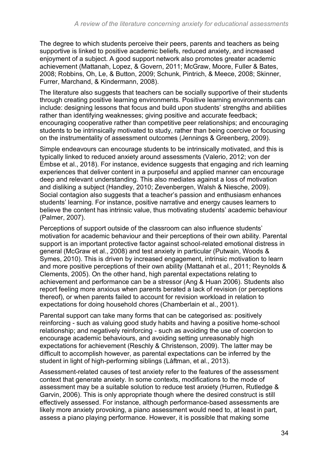The degree to which students perceive their peers, parents and teachers as being supportive is linked to positive academic beliefs, reduced anxiety, and increased enjoyment of a subject. A good support network also promotes greater academic achievement (Mattanah, Lopez, & Govern, 2011; McGraw, Moore, Fuller & Bates, 2008; Robbins, Oh, Le, & Button, 2009; Schunk, Pintrich, & Meece, 2008; Skinner, Furrer, Marchand, & Kindermann, 2008).

The literature also suggests that teachers can be socially supportive of their students through creating positive learning environments. Positive learning environments can include: designing lessons that focus and build upon students' strengths and abilities rather than identifying weaknesses; giving positive and accurate feedback; encouraging cooperative rather than competitive peer relationships; and encouraging students to be intrinsically motivated to study, rather than being coercive or focusing on the instrumentality of assessment outcomes (Jennings & Greenberg, 2009).

Simple endeavours can encourage students to be intrinsically motivated, and this is typically linked to reduced anxiety around assessments (Valerio, 2012; von der Embse et al., 2018). For instance, evidence suggests that engaging and rich learning experiences that deliver content in a purposeful and applied manner can encourage deep and relevant understanding. This also mediates against a loss of motivation and disliking a subject (Handley, 2010; Zevenbergen, Walsh & Niesche, 2009). Social contagion also suggests that a teacher's passion and enthusiasm enhances students' learning. For instance, positive narrative and energy causes learners to believe the content has intrinsic value, thus motivating students' academic behaviour (Palmer, 2007).

Perceptions of support outside of the classroom can also influence students' motivation for academic behaviour and their perceptions of their own ability. Parental support is an important protective factor against school-related emotional distress in general (McGraw et al., 2008) and test anxiety in particular (Putwain, Woods & Symes, 2010). This is driven by increased engagement, intrinsic motivation to learn and more positive perceptions of their own ability (Mattanah et al., 2011; Reynolds & Clements, 2005). On the other hand, high parental expectations relating to achievement and performance can be a stressor (Ang & Huan 2006). Students also report feeling more anxious when parents berated a lack of revision (or perceptions thereof), or when parents failed to account for revision workload in relation to expectations for doing household chores (Chamberlain et al., 2001).

Parental support can take many forms that can be categorised as: positively reinforcing - such as valuing good study habits and having a positive home-school relationship; and negatively reinforcing - such as avoiding the use of coercion to encourage academic behaviours, and avoiding setting unreasonably high expectations for achievement (Reschly & Christenson, 2009). The latter may be difficult to accomplish however, as parental expectations can be inferred by the student in light of high-performing siblings (Låftman, et al., 2013).

Assessment-related causes of test anxiety refer to the features of the assessment context that generate anxiety. In some contexts, modifications to the mode of assessment may be a suitable solution to reduce test anxiety (Hurren, Rutledge & Garvin, 2006). This is only appropriate though where the desired construct is still effectively assessed. For instance, although performance-based assessments are likely more anxiety provoking, a piano assessment would need to, at least in part, assess a piano playing performance. However, it is possible that making some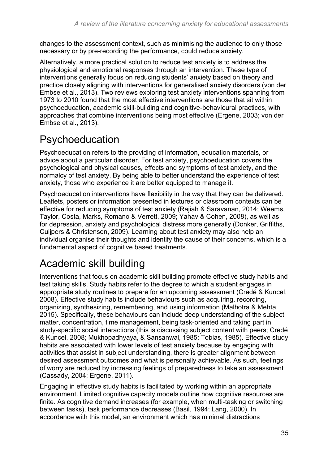changes to the assessment context, such as minimising the audience to only those necessary or by pre-recording the performance, could reduce anxiety.

Alternatively, a more practical solution to reduce test anxiety is to address the physiological and emotional responses through an intervention. These type of interventions generally focus on reducing students' anxiety based on theory and practice closely aligning with interventions for generalised anxiety disorders (von der Embse et al., 2013). Two reviews exploring test anxiety interventions spanning from 1973 to 2010 found that the most effective interventions are those that sit within psychoeducation, academic skill-building and cognitive-behavioural practices, with approaches that combine interventions being most effective (Ergene, 2003; von der Embse et al., 2013).

# <span id="page-34-0"></span>Psychoeducation

Psychoeducation refers to the providing of information, education materials, or advice about a particular disorder. For test anxiety, psychoeducation covers the psychological and physical causes, effects and symptoms of test anxiety, and the normalcy of test anxiety. By being able to better understand the experience of test anxiety, those who experience it are better equipped to manage it.

Psychoeducation interventions have flexibility in the way that they can be delivered. Leaflets, posters or information presented in lectures or classroom contexts can be effective for reducing symptoms of test anxiety (Rajiah & Saravanan, 2014; Weems, Taylor, Costa, Marks, Romano & Verrett, 2009; Yahav & Cohen, 2008), as well as for depression, anxiety and psychological distress more generally (Donker, Griffiths, Cuijpers & Christensen, 2009). Learning about test anxiety may also help an individual organise their thoughts and identify the cause of their concerns, which is a fundamental aspect of cognitive based treatments.

# <span id="page-34-1"></span>Academic skill building

Interventions that focus on academic skill building promote effective study habits and test taking skills. Study habits refer to the degree to which a student engages in appropriate study routines to prepare for an upcoming assessment (Credé & Kuncel, 2008). Effective study habits include behaviours such as acquiring, recording, organizing, synthesizing, remembering, and using information (Malhotra & Mehta, 2015). Specifically, these behaviours can include deep understanding of the subject matter, concentration, time management, being task-oriented and taking part in study-specific social interactions (this is discussing subject content with peers; Credé & Kuncel, 2008; Mukhopadhyaya, & Sansanwal, 1985; Tobias, 1985). Effective study habits are associated with lower levels of test anxiety because by engaging with activities that assist in subject understanding, there is greater alignment between desired assessment outcomes and what is personally achievable. As such, feelings of worry are reduced by increasing feelings of preparedness to take an assessment (Cassady, 2004; Ergene, 2011).

Engaging in effective study habits is facilitated by working within an appropriate environment. Limited cognitive capacity models outline how cognitive resources are finite. As cognitive demand increases (for example, when multi-tasking or switching between tasks), task performance decreases (Basil, 1994; Lang, 2000). In accordance with this model, an environment which has minimal distractions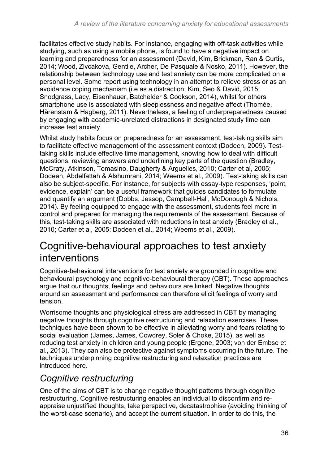facilitates effective study habits. For instance, engaging with off-task activities while studying, such as using a mobile phone, is found to have a negative impact on learning and preparedness for an assessment (David, Kim, Brickman, Ran & Curtis, 2014; Wood, Zivcakova, Gentile, Archer, De Pasquale & Nosko, 2011). However, the relationship between technology use and test anxiety can be more complicated on a personal level. Some report using technology in an attempt to relieve stress or as an avoidance coping mechanism (i.e as a distraction; Kim, Seo & David, 2015; Snodgrass, Lacy, Eisenhauer, Batchelder & Cookson, 2014), whilst for others smartphone use is associated with sleeplessness and negative affect (Thomée, Härenstam & Hagberg, 2011). Nevertheless, a feeling of underpreparedness caused by engaging with academic-unrelated distractions in designated study time can increase test anxiety.

Whilst study habits focus on preparedness for an assessment, test-taking skills aim to facilitate effective management of the assessment context (Dodeen, 2009). Testtaking skills include effective time management, knowing how to deal with difficult questions, reviewing answers and underlining key parts of the question (Bradley, McCraty, Atkinson, Tomasino, Daugherty & Arguelles, 2010; Carter et al, 2005; Dodeen, Abdelfattah & Alshumrani, 2014; Weems et al., 2009). Test-taking skills can also be subject-specific. For instance, for subjects with essay-type responses, 'point, evidence, explain' can be a useful framework that guides candidates to formulate and quantify an argument (Dobbs, Jessop, Campbell-Hall, McDonough & Nichols, 2014). By feeling equipped to engage with the assessment, students feel more in control and prepared for managing the requirements of the assessment. Because of this, test-taking skills are associated with reductions in test anxiety (Bradley et al., 2010; Carter et al, 2005; Dodeen et al., 2014; Weems et al., 2009).

## <span id="page-35-0"></span>Cognitive-behavioural approaches to test anxiety interventions

Cognitive-behavioural interventions for test anxiety are grounded in cognitive and behavioural psychology and cognitive-behavioural therapy (CBT). These approaches argue that our thoughts, feelings and behaviours are linked. Negative thoughts around an assessment and performance can therefore elicit feelings of worry and tension.

Worrisome thoughts and physiological stress are addressed in CBT by managing negative thoughts through cognitive restructuring and relaxation exercises. These techniques have been shown to be effective in alleviating worry and fears relating to social evaluation (James, James, Cowdrey, Soler & Choke, 2015), as well as reducing test anxiety in children and young people (Ergene, 2003; von der Embse et al., 2013). They can also be protective against symptoms occurring in the future. The techniques underpinning cognitive restructuring and relaxation practices are introduced here.

### *Cognitive restructuring*

One of the aims of CBT is to change negative thought patterns through cognitive restructuring. Cognitive restructuring enables an individual to disconfirm and reappraise unjustified thoughts, take perspective, decatastrophise (avoiding thinking of the worst-case scenario), and accept the current situation. In order to do this, the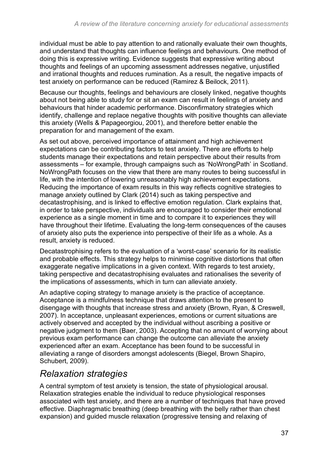individual must be able to pay attention to and rationally evaluate their own thoughts, and understand that thoughts can influence feelings and behaviours. One method of doing this is expressive writing. Evidence suggests that expressive writing about thoughts and feelings of an upcoming assessment addresses negative, unjustified and irrational thoughts and reduces rumination. As a result, the negative impacts of test anxiety on performance can be reduced (Ramirez & Beilock, 2011).

Because our thoughts, feelings and behaviours are closely linked, negative thoughts about not being able to study for or sit an exam can result in feelings of anxiety and behaviours that hinder academic performance. Disconfirmatory strategies which identify, challenge and replace negative thoughts with positive thoughts can alleviate this anxiety (Wells & Papageorgiou, 2001), and therefore better enable the preparation for and management of the exam.

As set out above, perceived importance of attainment and high achievement expectations can be contributing factors to test anxiety. There are efforts to help students manage their expectations and retain perspective about their results from assessments – for example, through campaigns such as 'NoWrongPath' in Scotland. NoWrongPath focuses on the view that there are many routes to being successful in life, with the intention of lowering unreasonably high achievement expectations. Reducing the importance of exam results in this way reflects cognitive strategies to manage anxiety outlined by Clark (2014) such as taking perspective and decatastrophising, and is linked to effective emotion regulation. Clark explains that, in order to take perspective, individuals are encouraged to consider their emotional experience as a single moment in time and to compare it to experiences they will have throughout their lifetime. Evaluating the long-term consequences of the causes of anxiety also puts the experience into perspective of their life as a whole. As a result, anxiety is reduced.

Decatastrophising refers to the evaluation of a 'worst-case' scenario for its realistic and probable effects. This strategy helps to minimise cognitive distortions that often exaggerate negative implications in a given context. With regards to test anxiety, taking perspective and decatastrophising evaluates and rationalises the severity of the implications of assessments, which in turn can alleviate anxiety.

An adaptive coping strategy to manage anxiety is the practice of acceptance. Acceptance is a mindfulness technique that draws attention to the present to disengage with thoughts that increase stress and anxiety (Brown, Ryan, & Creswell, 2007). In acceptance, unpleasant experiences, emotions or current situations are actively observed and accepted by the individual without ascribing a positive or negative judgment to them (Baer, 2003). Accepting that no amount of worrying about previous exam performance can change the outcome can alleviate the anxiety experienced after an exam. Acceptance has been found to be successful in alleviating a range of disorders amongst adolescents (Biegel, Brown Shapiro, Schubert, 2009).

### *Relaxation strategies*

A central symptom of test anxiety is tension, the state of physiological arousal. Relaxation strategies enable the individual to reduce physiological responses associated with test anxiety, and there are a number of techniques that have proved effective. Diaphragmatic breathing (deep breathing with the belly rather than chest expansion) and guided muscle relaxation (progressive tensing and relaxing of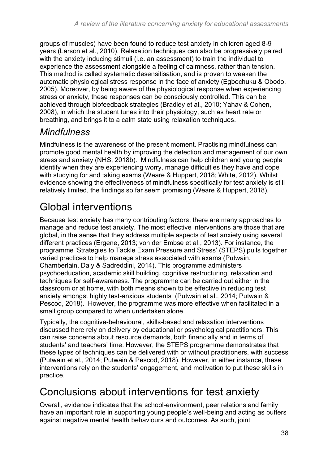groups of muscles) have been found to reduce test anxiety in children aged 8-9 years (Larson et al., 2010). Relaxation techniques can also be progressively paired with the anxiety inducing stimuli (i.e. an assessment) to train the individual to experience the assessment alongside a feeling of calmness, rather than tension. This method is called systematic desensitisation, and is proven to weaken the automatic physiological stress response in the face of anxiety (Egbochuku & Obodo, 2005). Moreover, by being aware of the physiological response when experiencing stress or anxiety, these responses can be consciously controlled. This can be achieved through biofeedback strategies (Bradley et al., 2010; Yahav & Cohen, 2008), in which the student tunes into their physiology, such as heart rate or breathing, and brings it to a calm state using relaxation techniques.

### *Mindfulness*

Mindfulness is the awareness of the present moment. Practising mindfulness can promote good mental health by improving the detection and management of our own stress and anxiety (NHS, 2018b). Mindfulness can help children and young people identify when they are experiencing worry, manage difficulties they have and cope with studying for and taking exams (Weare & Huppert, 2018; White, 2012). Whilst evidence showing the effectiveness of mindfulness specifically for test anxiety is still relatively limited, the findings so far seem promising (Weare & Huppert, 2018).

# <span id="page-37-0"></span>Global interventions

Because test anxiety has many contributing factors, there are many approaches to manage and reduce test anxiety. The most effective interventions are those that are global, in the sense that they address multiple aspects of test anxiety using several different practices (Ergene, 2013; von der Embse et al., 2013). For instance, the programme 'Strategies to Tackle Exam Pressure and Stress' (STEPS) pulls together varied practices to help manage stress associated with exams (Putwain, Chamberlain, Daly & Sadreddini, 2014). This programme administers psychoeducation, academic skill building, cognitive restructuring, relaxation and techniques for self-awareness. The programme can be carried out either in the classroom or at home, with both means shown to be effective in reducing test anxiety amongst highly test-anxious students (Putwain et al., 2014; Putwain & Pescod, 2018). However, the programme was more effective when facilitated in a small group compared to when undertaken alone.

Typically, the cognitive-behavioural, skills-based and relaxation interventions discussed here rely on delivery by educational or psychological practitioners. This can raise concerns about resource demands, both financially and in terms of students' and teachers' time. However, the STEPS programme demonstrates that these types of techniques can be delivered with or without practitioners, with success (Putwain et al., 2014; Putwain & Pescod, 2018). However, in either instance, these interventions rely on the students' engagement, and motivation to put these skills in practice.

# <span id="page-37-1"></span>Conclusions about interventions for test anxiety

Overall, evidence indicates that the school-environment, peer relations and family have an important role in supporting young people's well-being and acting as buffers against negative mental health behaviours and outcomes. As such, joint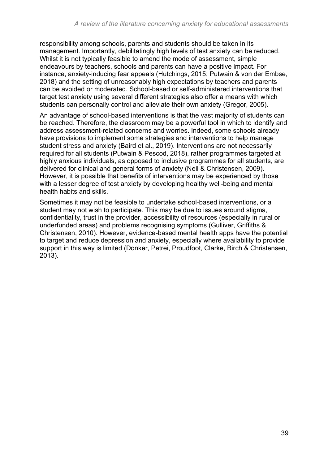responsibility among schools, parents and students should be taken in its management. Importantly, debilitatingly high levels of test anxiety can be reduced. Whilst it is not typically feasible to amend the mode of assessment, simple endeavours by teachers, schools and parents can have a positive impact. For instance, anxiety-inducing fear appeals (Hutchings, 2015; Putwain & von der Embse, 2018) and the setting of unreasonably high expectations by teachers and parents can be avoided or moderated. School-based or self-administered interventions that target test anxiety using several different strategies also offer a means with which students can personally control and alleviate their own anxiety (Gregor, 2005).

An advantage of school-based interventions is that the vast majority of students can be reached. Therefore, the classroom may be a powerful tool in which to identify and address assessment-related concerns and worries. Indeed, some schools already have provisions to implement some strategies and interventions to help manage student stress and anxiety (Baird et al., 2019). Interventions are not necessarily required for all students (Putwain & Pescod, 2018), rather programmes targeted at highly anxious individuals, as opposed to inclusive programmes for all students, are delivered for clinical and general forms of anxiety (Neil & Christensen, 2009). However, it is possible that benefits of interventions may be experienced by those with a lesser degree of test anxiety by developing healthy well-being and mental health habits and skills.

Sometimes it may not be feasible to undertake school-based interventions, or a student may not wish to participate. This may be due to issues around stigma, confidentiality, trust in the provider, accessibility of resources (especially in rural or underfunded areas) and problems recognising symptoms (Gulliver, Griffiths & Christensen, 2010). However, evidence-based mental health apps have the potential to target and reduce depression and anxiety, especially where availability to provide support in this way is limited (Donker, Petrei, Proudfoot, Clarke, Birch & Christensen, 2013).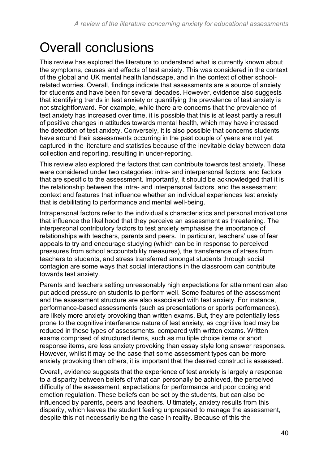# <span id="page-39-0"></span>Overall conclusions

This review has explored the literature to understand what is currently known about the symptoms, causes and effects of test anxiety. This was considered in the context of the global and UK mental health landscape, and in the context of other schoolrelated worries. Overall, findings indicate that assessments are a source of anxiety for students and have been for several decades. However, evidence also suggests that identifying trends in test anxiety or quantifying the prevalence of test anxiety is not straightforward. For example, while there are concerns that the prevalence of test anxiety has increased over time, it is possible that this is at least partly a result of positive changes in attitudes towards mental health, which may have increased the detection of test anxiety. Conversely, it is also possible that concerns students have around their assessments occurring in the past couple of years are not yet captured in the literature and statistics because of the inevitable delay between data collection and reporting, resulting in under-reporting.

This review also explored the factors that can contribute towards test anxiety. These were considered under two categories: intra- and interpersonal factors, and factors that are specific to the assessment. Importantly, it should be acknowledged that it is the relationship between the intra- and interpersonal factors, and the assessment context and features that influence whether an individual experiences test anxiety that is debilitating to performance and mental well-being.

Intrapersonal factors refer to the individual's characteristics and personal motivations that influence the likelihood that they perceive an assessment as threatening. The interpersonal contributory factors to test anxiety emphasise the importance of relationships with teachers, parents and peers. In particular, teachers' use of fear appeals to try and encourage studying (which can be in response to perceived pressures from school accountability measures), the transference of stress from teachers to students, and stress transferred amongst students through social contagion are some ways that social interactions in the classroom can contribute towards test anxiety.

Parents and teachers setting unreasonably high expectations for attainment can also put added pressure on students to perform well. Some features of the assessment and the assessment structure are also associated with test anxiety. For instance, performance-based assessments (such as presentations or sports performances), are likely more anxiety provoking than written exams. But, they are potentially less prone to the cognitive interference nature of test anxiety, as cognitive load may be reduced in these types of assessments, compared with written exams. Written exams comprised of structured items, such as multiple choice items or short response items, are less anxiety provoking than essay style long answer responses. However, whilst it may be the case that some assessment types can be more anxiety provoking than others, it is important that the desired construct is assessed.

Overall, evidence suggests that the experience of test anxiety is largely a response to a disparity between beliefs of what can personally be achieved, the perceived difficulty of the assessment, expectations for performance and poor coping and emotion regulation. These beliefs can be set by the students, but can also be influenced by parents, peers and teachers. Ultimately, anxiety results from this disparity, which leaves the student feeling unprepared to manage the assessment, despite this not necessarily being the case in reality. Because of this the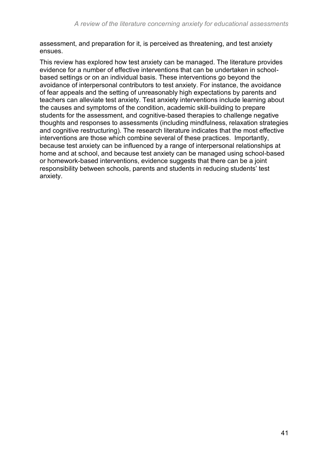assessment, and preparation for it, is perceived as threatening, and test anxiety ensues.

This review has explored how test anxiety can be managed. The literature provides evidence for a number of effective interventions that can be undertaken in schoolbased settings or on an individual basis. These interventions go beyond the avoidance of interpersonal contributors to test anxiety. For instance, the avoidance of fear appeals and the setting of unreasonably high expectations by parents and teachers can alleviate test anxiety. Test anxiety interventions include learning about the causes and symptoms of the condition, academic skill-building to prepare students for the assessment, and cognitive-based therapies to challenge negative thoughts and responses to assessments (including mindfulness, relaxation strategies and cognitive restructuring). The research literature indicates that the most effective interventions are those which combine several of these practices. Importantly, because test anxiety can be influenced by a range of interpersonal relationships at home and at school, and because test anxiety can be managed using school-based or homework-based interventions, evidence suggests that there can be a joint responsibility between schools, parents and students in reducing students' test anxiety.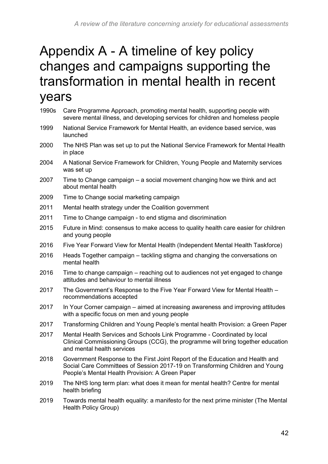# <span id="page-41-0"></span>Appendix A - A timeline of key policy changes and campaigns supporting the transformation in mental health in recent years

| 1990s | Care Programme Approach, promoting mental health, supporting people with<br>severe mental illness, and developing services for children and homeless people                                                      |
|-------|------------------------------------------------------------------------------------------------------------------------------------------------------------------------------------------------------------------|
| 1999  | National Service Framework for Mental Health, an evidence based service, was<br>launched                                                                                                                         |
| 2000  | The NHS Plan was set up to put the National Service Framework for Mental Health<br>in place                                                                                                                      |
| 2004  | A National Service Framework for Children, Young People and Maternity services<br>was set up                                                                                                                     |
| 2007  | Time to Change campaign – a social movement changing how we think and act<br>about mental health                                                                                                                 |
| 2009  | Time to Change social marketing campaign                                                                                                                                                                         |
| 2011  | Mental health strategy under the Coalition government                                                                                                                                                            |
| 2011  | Time to Change campaign - to end stigma and discrimination                                                                                                                                                       |
| 2015  | Future in Mind: consensus to make access to quality health care easier for children<br>and young people                                                                                                          |
| 2016  | Five Year Forward View for Mental Health (Independent Mental Health Taskforce)                                                                                                                                   |
| 2016  | Heads Together campaign - tackling stigma and changing the conversations on<br>mental health                                                                                                                     |
| 2016  | Time to change campaign – reaching out to audiences not yet engaged to change<br>attitudes and behaviour to mental illness                                                                                       |
| 2017  | The Government's Response to the Five Year Forward View for Mental Health -<br>recommendations accepted                                                                                                          |
| 2017  | In Your Corner campaign – aimed at increasing awareness and improving attitudes<br>with a specific focus on men and young people                                                                                 |
| 2017  | Transforming Children and Young People's mental health Provision: a Green Paper                                                                                                                                  |
| 2017  | Mental Health Services and Schools Link Programme - Coordinated by local<br>Clinical Commissioning Groups (CCG), the programme will bring together education<br>and mental health services                       |
| 2018  | Government Response to the First Joint Report of the Education and Health and<br>Social Care Committees of Session 2017-19 on Transforming Children and Young<br>People's Mental Health Provision: A Green Paper |
| 2019  | The NHS long term plan: what does it mean for mental health? Centre for mental<br>health briefing                                                                                                                |

2019 Towards mental health equality: a manifesto for the next prime minister (The Mental Health Policy Group)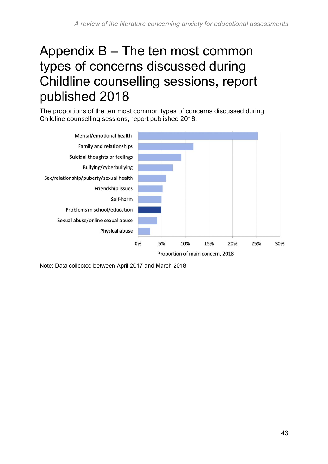# <span id="page-42-0"></span>Appendix B – The ten most common types of concerns discussed during Childline counselling sessions, report published 2018

The proportions of the ten most common types of concerns discussed during Childline counselling sessions, report published 2018.



Note: Data collected between April 2017 and March 2018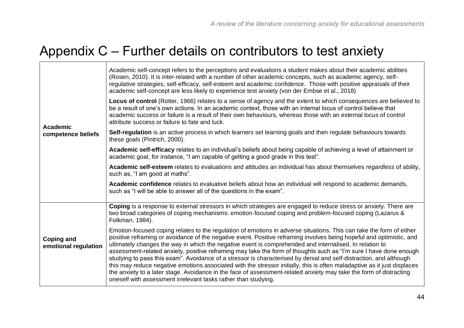# Appendix C – Further details on contributors to test anxiety

 $\blacksquare$ 

<span id="page-43-0"></span>

| <b>Academic</b><br>competence beliefs     | Academic self-concept refers to the perceptions and evaluations a student makes about their academic abilities<br>(Rosen, 2010). It is inter-related with a number of other academic concepts, such as academic agency, self-<br>regulative strategies, self-efficacy, self-esteem and academic confidence. Those with positive appraisals of their<br>academic self-concept are less likely to experience test anxiety (von der Embse et al., 2018)                                                                                                                                                                                                                                                                                                                                                                                                                                                                   |
|-------------------------------------------|------------------------------------------------------------------------------------------------------------------------------------------------------------------------------------------------------------------------------------------------------------------------------------------------------------------------------------------------------------------------------------------------------------------------------------------------------------------------------------------------------------------------------------------------------------------------------------------------------------------------------------------------------------------------------------------------------------------------------------------------------------------------------------------------------------------------------------------------------------------------------------------------------------------------|
|                                           | Locus of control (Rotter, 1966) relates to a sense of agency and the extent to which consequences are believed to<br>be a result of one's own actions. In an academic context, those with an internal locus of control believe that<br>academic success or failure is a result of their own behaviours, whereas those with an external locus of control<br>attribute success or failure to fate and luck.                                                                                                                                                                                                                                                                                                                                                                                                                                                                                                              |
|                                           | Self-regulation is an active process in which learners set learning goals and then regulate behaviours towards<br>these goals (Pintrich, 2000).                                                                                                                                                                                                                                                                                                                                                                                                                                                                                                                                                                                                                                                                                                                                                                        |
|                                           | Academic self-efficacy relates to an individual's beliefs about being capable of achieving a level of attainment or<br>academic goal, for instance, "I am capable of getting a good grade in this test".                                                                                                                                                                                                                                                                                                                                                                                                                                                                                                                                                                                                                                                                                                               |
|                                           | Academic self-esteem relates to evaluations and attitudes an individual has about themselves regardless of ability,<br>such as, "I am good at maths".                                                                                                                                                                                                                                                                                                                                                                                                                                                                                                                                                                                                                                                                                                                                                                  |
|                                           | Academic confidence relates to evaluative beliefs about how an individual will respond to academic demands,<br>such as "I will be able to answer all of the questions in the exam".                                                                                                                                                                                                                                                                                                                                                                                                                                                                                                                                                                                                                                                                                                                                    |
| <b>Coping and</b><br>emotional regulation | Coping is a response to external stressors in which strategies are engaged to reduce stress or anxiety. There are<br>two broad categories of coping mechanisms: emotion-focused coping and problem-focused coping (Lazarus &<br>Folkman, 1984).                                                                                                                                                                                                                                                                                                                                                                                                                                                                                                                                                                                                                                                                        |
|                                           | Emotion-focused coping relates to the regulation of emotions in adverse situations. This can take the form of either<br>positive reframing or avoidance of the negative event. Positive reframing involves being hopeful and optimistic, and<br>ultimately changes the way in which the negative event is comprehended and internalised. In relation to<br>assessment-related anxiety, positive reframing may take the form of thoughts such as "I'm sure I have done enough<br>studying to pass this exam". Avoidance of a stressor is characterised by denial and self-distraction, and although<br>this may reduce negative emotions associated with the stressor initially, this is often maladaptive as it just displaces<br>the anxiety to a later stage. Avoidance in the face of assessment-related anxiety may take the form of distracting<br>oneself with assessment irrelevant tasks rather than studying. |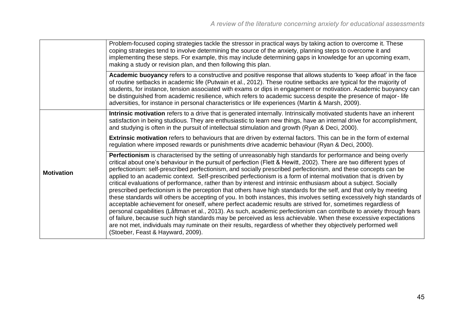|                   | Problem-focused coping strategies tackle the stressor in practical ways by taking action to overcome it. These<br>coping strategies tend to involve determining the source of the anxiety, planning steps to overcome it and<br>implementing these steps. For example, this may include determining gaps in knowledge for an upcoming exam,<br>making a study or revision plan, and then following this plan.                                                                                                                                                                                                                                                                                                                                                                                                                                                                                                                                                                                                                                                                                                                                                                                                                                                                                                                                                  |
|-------------------|----------------------------------------------------------------------------------------------------------------------------------------------------------------------------------------------------------------------------------------------------------------------------------------------------------------------------------------------------------------------------------------------------------------------------------------------------------------------------------------------------------------------------------------------------------------------------------------------------------------------------------------------------------------------------------------------------------------------------------------------------------------------------------------------------------------------------------------------------------------------------------------------------------------------------------------------------------------------------------------------------------------------------------------------------------------------------------------------------------------------------------------------------------------------------------------------------------------------------------------------------------------------------------------------------------------------------------------------------------------|
|                   | Academic buoyancy refers to a constructive and positive response that allows students to 'keep afloat' in the face<br>of routine setbacks in academic life (Putwain et al., 2012). These routine setbacks are typical for the majority of<br>students, for instance, tension associated with exams or dips in engagement or motivation. Academic buoyancy can<br>be distinguished from academic resilience, which refers to academic success despite the presence of major-life<br>adversities, for instance in personal characteristics or life experiences (Martin & Marsh, 2009).                                                                                                                                                                                                                                                                                                                                                                                                                                                                                                                                                                                                                                                                                                                                                                           |
|                   | Intrinsic motivation refers to a drive that is generated internally. Intrinsically motivated students have an inherent<br>satisfaction in being studious. They are enthusiastic to learn new things, have an internal drive for accomplishment,<br>and studying is often in the pursuit of intellectual stimulation and growth (Ryan & Deci, 2000).                                                                                                                                                                                                                                                                                                                                                                                                                                                                                                                                                                                                                                                                                                                                                                                                                                                                                                                                                                                                            |
|                   | <b>Extrinsic motivation</b> refers to behaviours that are driven by external factors. This can be in the form of external<br>regulation where imposed rewards or punishments drive academic behaviour (Ryan & Deci, 2000).                                                                                                                                                                                                                                                                                                                                                                                                                                                                                                                                                                                                                                                                                                                                                                                                                                                                                                                                                                                                                                                                                                                                     |
| <b>Motivation</b> | Perfectionism is characterised by the setting of unreasonably high standards for performance and being overly<br>critical about one's behaviour in the pursuit of perfection (Flett & Hewitt, 2002). There are two different types of<br>perfectionism: self-prescribed perfectionism, and socially prescribed perfectionism, and these concepts can be<br>applied to an academic context. Self-prescribed perfectionism is a form of internal motivation that is driven by<br>critical evaluations of performance, rather than by interest and intrinsic enthusiasm about a subject. Socially<br>prescribed perfectionism is the perception that others have high standards for the self, and that only by meeting<br>these standards will others be accepting of you. In both instances, this involves setting excessively high standards of<br>acceptable achievement for oneself, where perfect academic results are strived for, sometimes regardless of<br>personal capabilities (Låftman et al., 2013). As such, academic perfectionism can contribute to anxiety through fears<br>of failure, because such high standards may be perceived as less achievable. When these excessive expectations<br>are not met, individuals may ruminate on their results, regardless of whether they objectively performed well<br>(Stoeber, Feast & Hayward, 2009). |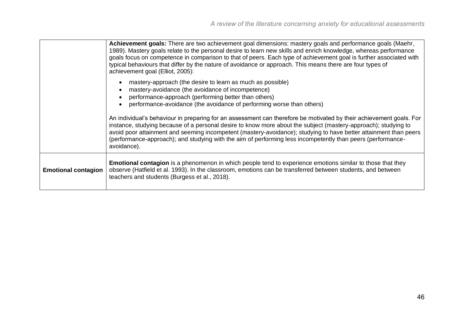|                            | Achievement goals: There are two achievement goal dimensions: mastery goals and performance goals (Maehr,<br>1989). Mastery goals relate to the personal desire to learn new skills and enrich knowledge, whereas performance<br>goals focus on competence in comparison to that of peers. Each type of achievement goal is further associated with<br>typical behaviours that differ by the nature of avoidance or approach. This means there are four types of<br>achievement goal (Elliot, 2005): |
|----------------------------|------------------------------------------------------------------------------------------------------------------------------------------------------------------------------------------------------------------------------------------------------------------------------------------------------------------------------------------------------------------------------------------------------------------------------------------------------------------------------------------------------|
|                            | mastery-approach (the desire to learn as much as possible)<br>mastery-avoidance (the avoidance of incompetence)<br>performance-approach (performing better than others)<br>performance-avoidance (the avoidance of performing worse than others)                                                                                                                                                                                                                                                     |
|                            | An individual's behaviour in preparing for an assessment can therefore be motivated by their achievement goals. For<br>instance, studying because of a personal desire to know more about the subject (mastery-approach); studying to<br>avoid poor attainment and seeming incompetent (mastery-avoidance); studying to have better attainment than peers<br>(performance-approach); and studying with the aim of performing less incompetently than peers (performance-<br>avoidance).              |
| <b>Emotional contagion</b> | <b>Emotional contagion</b> is a phenomenon in which people tend to experience emotions similar to those that they<br>observe (Hatfield et al. 1993). In the classroom, emotions can be transferred between students, and between<br>teachers and students (Burgess et al., 2018).                                                                                                                                                                                                                    |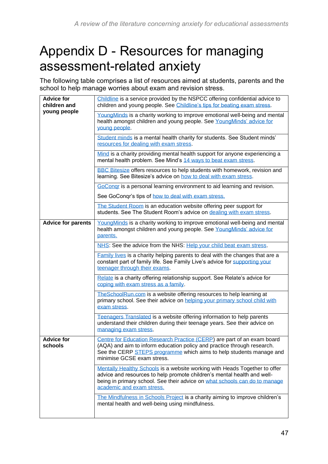# <span id="page-46-0"></span>Appendix D - Resources for managing assessment-related anxiety

The following table comprises a list of resources aimed at students, parents and the school to help manage worries about exam and revision stress.

| <b>Advice for</b><br>children and<br>young people | Childline is a service provided by the NSPCC offering confidential advice to<br>children and young people. See Childline's tips for beating exam stress.                                                                                                         |
|---------------------------------------------------|------------------------------------------------------------------------------------------------------------------------------------------------------------------------------------------------------------------------------------------------------------------|
|                                                   | YoungMinds is a charity working to improve emotional well-being and mental<br>health amongst children and young people. See YoungMinds' advice for<br>young people.                                                                                              |
|                                                   | Student minds is a mental health charity for students. See Student minds'<br>resources for dealing with exam stress.                                                                                                                                             |
|                                                   | Mind is a charity providing mental health support for anyone experiencing a<br>mental health problem. See Mind's 14 ways to beat exam stress.                                                                                                                    |
|                                                   | <b>BBC Bitesize offers resources to help students with homework, revision and</b><br>learning. See Bitesize's advice on how to deal with exam stress.                                                                                                            |
|                                                   | GoCongr is a personal learning environment to aid learning and revision.                                                                                                                                                                                         |
|                                                   | See GoConqr's tips of how to deal with exam stress.                                                                                                                                                                                                              |
|                                                   | The Student Room is an education website offering peer support for<br>students. See The Student Room's advice on dealing with exam stress.                                                                                                                       |
| <b>Advice for parents</b>                         | YoungMinds is a charity working to improve emotional well-being and mental<br>health amongst children and young people. See YoungMinds' advice for<br>parents.                                                                                                   |
|                                                   | NHS: See the advice from the NHS: Help your child beat exam stress.                                                                                                                                                                                              |
|                                                   | <b>Family lives</b> is a charity helping parents to deal with the changes that are a<br>constant part of family life. See Family Live's advice for supporting your<br>teenager through their exams.                                                              |
|                                                   | Relate is a charity offering relationship support. See Relate's advice for<br>coping with exam stress as a family.                                                                                                                                               |
|                                                   | TheSchoolRun.com is a website offering resources to help learning at<br>primary school. See their advice on helping your primary school child with<br>exam stress.                                                                                               |
|                                                   | Teenagers Translated is a website offering information to help parents<br>understand their children during their teenage years. See their advice on<br>managing exam stress.                                                                                     |
| <b>Advice for</b><br>schools                      | Centre for Education Research Practice (CERP) are part of an exam board<br>(AQA) and aim to inform education policy and practice through research.<br>See the CERP STEPS programme which aims to help students manage and<br>minimise GCSE exam stress.          |
|                                                   | Mentally Healthy Schools is a website working with Heads Together to offer<br>advice and resources to help promote children's mental health and well-<br>being in primary school. See their advice on what schools can do to manage<br>academic and exam stress. |
|                                                   | The Mindfulness in Schools Project is a charity aiming to improve children's<br>mental health and well-being using mindfulness.                                                                                                                                  |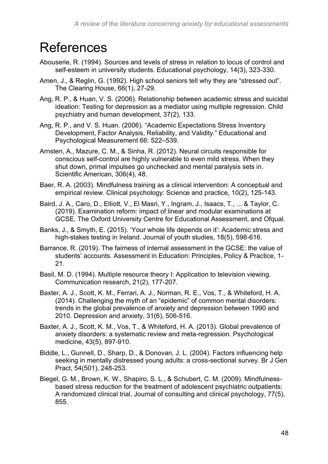# <span id="page-47-0"></span>References

- Abouserie, R. (1994). Sources and levels of stress in relation to locus of control and self-esteem in university students. Educational psychology, 14(3), 323-330.
- Amen, J., & Reglin, G. (1992). High school seniors tell why they are "stressed out". The Clearing House, 66(1), 27-29.
- Ang, R. P., & Huan, V. S. (2006). Relationship between academic stress and suicidal ideation: Testing for depression as a mediator using multiple regression. Child psychiatry and human development, 37(2), 133.
- Ang, R. P., and V. S. Huan. (2006). "Academic Expectations Stress Inventory Development, Factor Analysis, Reliability, and Validity." Educational and Psychological Measurement 66: 522–539.
- Arnsten, A., Mazure, C. M., & Sinha, R. (2012). Neural circuits responsible for conscious self-control are highly vulnerable to even mild stress. When they shut down, primal impulses go unchecked and mental paralysis sets in. Scientific American, 306(4), 48.
- Baer, R. A. (2003). Mindfulness training as a clinical intervention: A conceptual and empirical review. Clinical psychology: Science and practice, 10(2), 125-143.
- Baird, J. A., Caro, D., Elliott, V., El Masri, Y., Ingram, J., Isaacs, T., ... & Taylor, C. (2019). Examination reform: impact of linear and modular examinations at GCSE. The Oxford University Centre for Educational Assessment, and Ofqual.
- Banks, J., & Smyth, E. (2015). 'Your whole life depends on it': Academic stress and high-stakes testing in Ireland. Journal of youth studies, 18(5), 598-616.
- Barrance, R. (2019). The fairness of internal assessment in the GCSE: the value of students' accounts. Assessment in Education: Principles, Policy & Practice, 1- 21.
- Basil, M. D. (1994). Multiple resource theory I: Application to television viewing. Communication research, 21(2), 177-207.
- Baxter, A. J., Scott, K. M., Ferrari, A. J., Norman, R. E., Vos, T., & Whiteford, H. A. (2014). Challenging the myth of an "epidemic" of common mental disorders: trends in the global prevalence of anxiety and depression between 1990 and 2010. Depression and anxiety, 31(6), 506-516.
- Baxter, A. J., Scott, K. M., Vos, T., & Whiteford, H. A. (2013). Global prevalence of anxiety disorders: a systematic review and meta-regression. Psychological medicine, 43(5), 897-910.
- Biddle, L., Gunnell, D., Sharp, D., & Donovan, J. L. (2004). Factors influencing help seeking in mentally distressed young adults: a cross-sectional survey. Br J Gen Pract, 54(501), 248-253.
- Biegel, G. M., Brown, K. W., Shapiro, S. L., & Schubert, C. M. (2009). Mindfulnessbased stress reduction for the treatment of adolescent psychiatric outpatients: A randomized clinical trial. Journal of consulting and clinical psychology, 77(5), 855.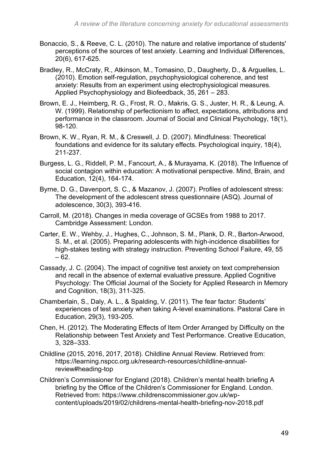- Bonaccio, S., & Reeve, C. L. (2010). The nature and relative importance of students' perceptions of the sources of test anxiety. Learning and Individual Differences, 20(6), 617-625.
- Bradley, R., McCraty, R., Atkinson, M., Tomasino, D., Daugherty, D., & Arguelles, L. (2010). Emotion self-regulation, psychophysiological coherence, and test anxiety: Results from an experiment using electrophysiological measures. Applied Psychophysiology and Biofeedback, 35, 261 – 283.
- Brown, E. J., Heimberg, R. G., Frost, R. O., Makris, G. S., Juster, H. R., & Leung, A. W. (1999). Relationship of perfectionism to affect, expectations, attributions and performance in the classroom. Journal of Social and Clinical Psychology, 18(1), 98-120.
- Brown, K. W., Ryan, R. M., & Creswell, J. D. (2007). Mindfulness: Theoretical foundations and evidence for its salutary effects. Psychological inquiry, 18(4), 211-237.
- Burgess, L. G., Riddell, P. M., Fancourt, A., & Murayama, K. (2018). The Influence of social contagion within education: A motivational perspective. Mind, Brain, and Education, 12(4), 164-174.
- Byrne, D. G., Davenport, S. C., & Mazanov, J. (2007). Profiles of adolescent stress: The development of the adolescent stress questionnaire (ASQ). Journal of adolescence, 30(3), 393-416.
- Carroll, M. (2018). Changes in media coverage of GCSEs from 1988 to 2017. Cambridge Assessment: London.
- Carter, E. W., Wehby, J., Hughes, C., Johnson, S. M., Plank, D. R., Barton-Arwood, S. M., et al. (2005). Preparing adolescents with high-incidence disabilities for high-stakes testing with strategy instruction. Preventing School Failure, 49, 55  $-62.$
- Cassady, J. C. (2004). The impact of cognitive test anxiety on text comprehension and recall in the absence of external evaluative pressure. Applied Cognitive Psychology: The Official Journal of the Society for Applied Research in Memory and Cognition, 18(3), 311-325.
- Chamberlain, S., Daly, A. L., & Spalding, V. (2011). The fear factor: Students' experiences of test anxiety when taking A-level examinations. Pastoral Care in Education, 29(3), 193-205.
- Chen, H. (2012). The Moderating Effects of Item Order Arranged by Difficulty on the Relationship between Test Anxiety and Test Performance. Creative Education, 3, 328–333.
- Childline (2015, 2016, 2017, 2018). Childline Annual Review. Retrieved from: https://learning.nspcc.org.uk/research-resources/childline-annualreview#heading-top
- Children's Commissioner for England (2018). Children's mental health briefing A briefing by the Office of the Children's Commissioner for England. London. Retrieved from: https://www.childrenscommissioner.gov.uk/wpcontent/uploads/2019/02/childrens-mental-health-briefing-nov-2018.pdf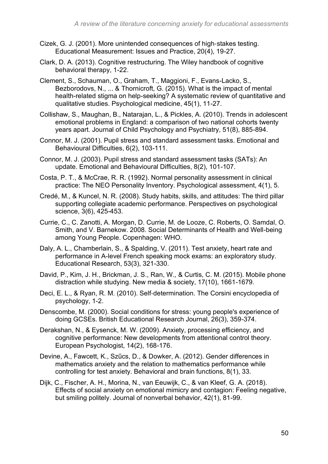- Cizek, G. J. (2001). More unintended consequences of high‐stakes testing. Educational Measurement: Issues and Practice, 20(4), 19-27.
- Clark, D. A. (2013). Cognitive restructuring. The Wiley handbook of cognitive behavioral therapy, 1-22.
- Clement, S., Schauman, O., Graham, T., Maggioni, F., Evans-Lacko, S., Bezborodovs, N., ... & Thornicroft, G. (2015). What is the impact of mental health-related stigma on help-seeking? A systematic review of quantitative and qualitative studies. Psychological medicine, 45(1), 11-27.
- Collishaw, S., Maughan, B., Natarajan, L., & Pickles, A. (2010). Trends in adolescent emotional problems in England: a comparison of two national cohorts twenty years apart. Journal of Child Psychology and Psychiatry, 51(8), 885-894.
- Connor, M. J. (2001). Pupil stress and standard assessment tasks. Emotional and Behavioural Difficulties, 6(2), 103-111.
- Connor, M. J. (2003). Pupil stress and standard assessment tasks (SATs): An update. Emotional and Behavioural Difficulties, 8(2), 101-107.
- Costa, P. T., & McCrae, R. R. (1992). Normal personality assessment in clinical practice: The NEO Personality Inventory. Psychological assessment, 4(1), 5.
- Credé, M., & Kuncel, N. R. (2008). Study habits, skills, and attitudes: The third pillar supporting collegiate academic performance. Perspectives on psychological science, 3(6), 425-453.
- Currie, C., C. Zanotti, A. Morgan, D. Currie, M. de Looze, C. Roberts, O. Samdal, O. Smith, and V. Barnekow. 2008. Social Determinants of Health and Well-being among Young People. Copenhagen: WHO.
- Daly, A. L., Chamberlain, S., & Spalding, V. (2011). Test anxiety, heart rate and performance in A-level French speaking mock exams: an exploratory study. Educational Research, 53(3), 321-330.
- David, P., Kim, J. H., Brickman, J. S., Ran, W., & Curtis, C. M. (2015). Mobile phone distraction while studying. New media & society, 17(10), 1661-1679.
- Deci, E. L., & Ryan, R. M. (2010). Self-determination. The Corsini encyclopedia of psychology, 1-2.
- Denscombe, M. (2000). Social conditions for stress: young people's experience of doing GCSEs. British Educational Research Journal, 26(3), 359-374.
- Derakshan, N., & Eysenck, M. W. (2009). Anxiety, processing efficiency, and cognitive performance: New developments from attentional control theory. European Psychologist, 14(2), 168-176.
- Devine, A., Fawcett, K., Szűcs, D., & Dowker, A. (2012). Gender differences in mathematics anxiety and the relation to mathematics performance while controlling for test anxiety. Behavioral and brain functions, 8(1), 33.
- Dijk, C., Fischer, A. H., Morina, N., van Eeuwijk, C., & van Kleef, G. A. (2018). Effects of social anxiety on emotional mimicry and contagion: Feeling negative, but smiling politely. Journal of nonverbal behavior, 42(1), 81-99.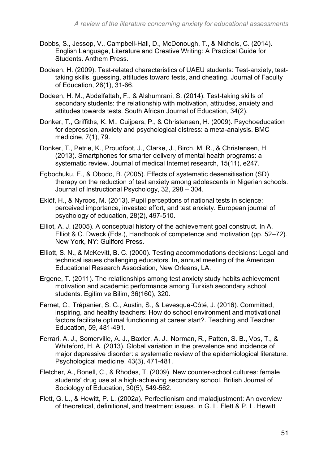- Dobbs, S., Jessop, V., Campbell-Hall, D., McDonough, T., & Nichols, C. (2014). English Language, Literature and Creative Writing: A Practical Guide for Students. Anthem Press.
- Dodeen, H. (2009). Test-related characteristics of UAEU students: Test-anxiety, testtaking skills, guessing, attitudes toward tests, and cheating. Journal of Faculty of Education, 26(1), 31-66.
- Dodeen, H. M., Abdelfattah, F., & Alshumrani, S. (2014). Test-taking skills of secondary students: the relationship with motivation, attitudes, anxiety and attitudes towards tests. South African Journal of Education, 34(2).
- Donker, T., Griffiths, K. M., Cuijpers, P., & Christensen, H. (2009). Psychoeducation for depression, anxiety and psychological distress: a meta-analysis. BMC medicine, 7(1), 79.
- Donker, T., Petrie, K., Proudfoot, J., Clarke, J., Birch, M. R., & Christensen, H. (2013). Smartphones for smarter delivery of mental health programs: a systematic review. Journal of medical Internet research, 15(11), e247.
- Egbochuku, E., & Obodo, B. (2005). Effects of systematic desensitisation (SD) therapy on the reduction of test anxiety among adolescents in Nigerian schools. Journal of Instructional Psychology, 32, 298 – 304.
- Eklöf, H., & Nyroos, M. (2013). Pupil perceptions of national tests in science: perceived importance, invested effort, and test anxiety. European journal of psychology of education, 28(2), 497-510.
- Elliot, A. J. (2005). A conceptual history of the achievement goal construct. In A. Elliot & C. Dweck (Eds.), Handbook of competence and motivation (pp. 52–72). New York, NY: Guilford Press.
- Elliott, S. N., & McKevitt, B. C. (2000). Testing accommodations decisions: Legal and technical issues challenging educators. In, annual meeting of the American Educational Research Association, New Orleans, LA.
- Ergene, T. (2011). The relationships among test anxiety study habits achievement motivation and academic performance among Turkish secondary school students. Egitim ve Bilim, 36(160), 320.
- Fernet, C., Trépanier, S. G., Austin, S., & Levesque-Côté, J. (2016). Committed, inspiring, and healthy teachers: How do school environment and motivational factors facilitate optimal functioning at career start?. Teaching and Teacher Education, 59, 481-491.
- Ferrari, A. J., Somerville, A. J., Baxter, A. J., Norman, R., Patten, S. B., Vos, T., & Whiteford, H. A. (2013). Global variation in the prevalence and incidence of major depressive disorder: a systematic review of the epidemiological literature. Psychological medicine, 43(3), 471-481.
- Fletcher, A., Bonell, C., & Rhodes, T. (2009). New counter‐school cultures: female students' drug use at a high‐achieving secondary school. British Journal of Sociology of Education, 30(5), 549-562.
- Flett, G. L., & Hewitt, P. L. (2002a). Perfectionism and maladjustment: An overview of theoretical, definitional, and treatment issues. In G. L. Flett & P. L. Hewitt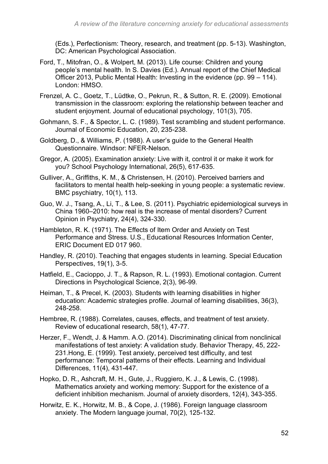(Eds.), Perfectionism: Theory, research, and treatment (pp. 5-13). Washington, DC: American Psychological Association.

- Ford, T., Mitofran, O., & Wolpert, M. (2013). Life course: Children and young people's mental health. In S. Davies (Ed.). Annual report of the Chief Medical Officer 2013, Public Mental Health: Investing in the evidence (pp. 99 – 114). London: HMSO.
- Frenzel, A. C., Goetz, T., Lüdtke, O., Pekrun, R., & Sutton, R. E. (2009). Emotional transmission in the classroom: exploring the relationship between teacher and student enjoyment. Journal of educational psychology, 101(3), 705.
- Gohmann, S. F., & Spector, L. C. (1989). Test scrambling and student performance. Journal of Economic Education, 20, 235-238.
- Goldberg, D., & Williams, P. (1988). A user's guide to the General Health Questionnaire. Windsor: NFER-Nelson.
- Gregor, A. (2005). Examination anxiety: Live with it, control it or make it work for you? School Psychology International, 26(5), 617-635.
- Gulliver, A., Griffiths, K. M., & Christensen, H. (2010). Perceived barriers and facilitators to mental health help-seeking in young people: a systematic review. BMC psychiatry, 10(1), 113.
- Guo, W. J., Tsang, A., Li, T., & Lee, S. (2011). Psychiatric epidemiological surveys in China 1960–2010: how real is the increase of mental disorders? Current Opinion in Psychiatry, 24(4), 324-330.
- Hambleton, R. K. (1971). The Effects of Item Order and Anxiety on Test Performance and Stress. U.S., Educational Resources Information Center, ERIC Document ED 017 960.
- Handley, R. (2010). Teaching that engages students in learning. Special Education Perspectives, 19(1), 3-5.
- Hatfield, E., Cacioppo, J. T., & Rapson, R. L. (1993). Emotional contagion. Current Directions in Psychological Science, 2(3), 96-99.
- Heiman, T., & Precel, K. (2003). Students with learning disabilities in higher education: Academic strategies profile. Journal of learning disabilities, 36(3), 248-258.
- Hembree, R. (1988). Correlates, causes, effects, and treatment of test anxiety. Review of educational research, 58(1), 47-77.
- Herzer, F., Wendt, J. & Hamm. A.O. (2014). Discriminating clinical from nonclinical manifestations of test anxiety: A validation study. Behavior Therapy, 45, 222- 231.Hong, E. (1999). Test anxiety, perceived test difficulty, and test performance: Temporal patterns of their effects. Learning and Individual Differences, 11(4), 431-447.
- Hopko, D. R., Ashcraft, M. H., Gute, J., Ruggiero, K. J., & Lewis, C. (1998). Mathematics anxiety and working memory: Support for the existence of a deficient inhibition mechanism. Journal of anxiety disorders, 12(4), 343-355.
- Horwitz, E. K., Horwitz, M. B., & Cope, J. (1986). Foreign language classroom anxiety. The Modern language journal, 70(2), 125-132.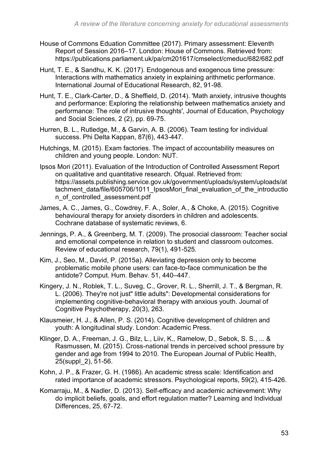- House of Commons Eduation Committee (2017). Primary assessment: Eleventh Report of Session 2016–17. London: House of Commons. Retrieved from: https://publications.parliament.uk/pa/cm201617/cmselect/cmeduc/682/682.pdf
- Hunt, T. E., & Sandhu, K. K. (2017). Endogenous and exogenous time pressure: Interactions with mathematics anxiety in explaining arithmetic performance. International Journal of Educational Research, 82, 91-98.
- Hunt, T. E., Clark-Carter, D., & Sheffield, D. (2014). 'Math anxiety, intrusive thoughts and performance: Exploring the relationship between mathematics anxiety and performance: The role of intrusive thoughts', Journal of Education, Psychology and Social Sciences, 2 (2), pp. 69-75.
- Hurren, B. L., Rutledge, M., & Garvin, A. B. (2006). Team testing for individual success. Phi Delta Kappan, 87(6), 443-447.
- Hutchings, M. (2015). Exam factories. The impact of accountability measures on children and young people. London: NUT.
- Ipsos Mori (2011). Evaluation of the Introduction of Controlled Assessment Report on qualitative and quantitative research. Ofqual. Retrieved from: https://assets.publishing.service.gov.uk/government/uploads/system/uploads/at tachment data/file/605706/1011 IpsosMori final evaluation of the introductio n\_of\_controlled\_assessment.pdf
- James, A. C., James, G., Cowdrey, F. A., Soler, A., & Choke, A. (2015). Cognitive behavioural therapy for anxiety disorders in children and adolescents. Cochrane database of systematic reviews, 6.
- Jennings, P. A., & Greenberg, M. T. (2009). The prosocial classroom: Teacher social and emotional competence in relation to student and classroom outcomes. Review of educational research, 79(1), 491-525.
- Kim, J., Seo, M., David, P. (2015a). Alleviating depression only to become problematic mobile phone users: can face-to-face communication be the antidote? Comput. Hum. Behav. 51, 440–447.
- Kingery, J. N., Roblek, T. L., Suveg, C., Grover, R. L., Sherrill, J. T., & Bergman, R. L. (2006). They're not just" little adults": Developmental considerations for implementing cognitive-behavioral therapy with anxious youth. Journal of Cognitive Psychotherapy, 20(3), 263.
- Klausmeier, H. J., & Allen, P. S. (2014). Cognitive development of children and youth: A longitudinal study. London: Academic Press.
- Klinger, D. A., Freeman, J. G., Bilz, L., Liiv, K., Ramelow, D., Sebok, S. S., ... & Rasmussen, M. (2015). Cross-national trends in perceived school pressure by gender and age from 1994 to 2010. The European Journal of Public Health, 25(suppl\_2), 51-56.
- Kohn, J. P., & Frazer, G. H. (1986). An academic stress scale: Identification and rated importance of academic stressors. Psychological reports, 59(2), 415-426.
- Komarraju, M., & Nadler, D. (2013). Self-efficacy and academic achievement: Why do implicit beliefs, goals, and effort regulation matter? Learning and Individual Differences, 25, 67-72.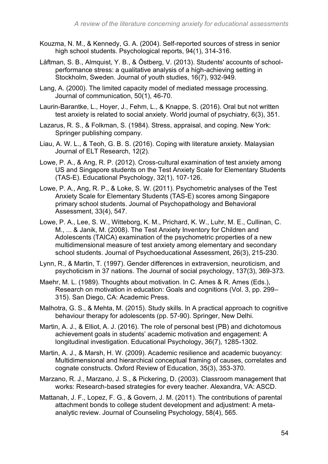- Kouzma, N. M., & Kennedy, G. A. (2004). Self-reported sources of stress in senior high school students. Psychological reports, 94(1), 314-316.
- Låftman, S. B., Almquist, Y. B., & Östberg, V. (2013). Students' accounts of schoolperformance stress: a qualitative analysis of a high-achieving setting in Stockholm, Sweden. Journal of youth studies, 16(7), 932-949.
- Lang, A. (2000). The limited capacity model of mediated message processing. Journal of communication, 50(1), 46-70.
- Laurin-Barantke, L., Hoyer, J., Fehm, L., & Knappe, S. (2016). Oral but not written test anxiety is related to social anxiety. World journal of psychiatry, 6(3), 351.
- Lazarus, R. S., & Folkman, S. (1984). Stress, appraisal, and coping. New York: Springer publishing company.
- Liau, A. W. L., & Teoh, G. B. S. (2016). Coping with literature anxiety. Malaysian Journal of ELT Research, 12(2).
- Lowe, P. A., & Ang, R. P. (2012). Cross-cultural examination of test anxiety among US and Singapore students on the Test Anxiety Scale for Elementary Students (TAS-E). Educational Psychology, 32(1), 107-126.
- Lowe, P. A., Ang, R. P., & Loke, S. W. (2011). Psychometric analyses of the Test Anxiety Scale for Elementary Students (TAS-E) scores among Singapore primary school students. Journal of Psychopathology and Behavioral Assessment, 33(4), 547.
- Lowe, P. A., Lee, S. W., Witteborg, K. M., Prichard, K. W., Luhr, M. E., Cullinan, C. M., ... & Janik, M. (2008). The Test Anxiety Inventory for Children and Adolescents (TAICA) examination of the psychometric properties of a new multidimensional measure of test anxiety among elementary and secondary school students. Journal of Psychoeducational Assessment, 26(3), 215-230.
- Lynn, R., & Martin, T. (1997). Gender differences in extraversion, neuroticism, and psychoticism in 37 nations. The Journal of social psychology, 137(3), 369-373.
- Maehr, M. L. (1989). Thoughts about motivation. In C. Ames & R. Ames (Eds.), Research on motivation in education: Goals and cognitions (Vol. 3, pp. 299– 315). San Diego, CA: Academic Press.
- Malhotra, G. S., & Mehta, M. (2015). Study skills. In A practical approach to cognitive behaviour therapy for adolescents (pp. 57-90). Springer, New Delhi.
- Martin, A. J., & Elliot, A. J. (2016). The role of personal best (PB) and dichotomous achievement goals in students' academic motivation and engagement: A longitudinal investigation. Educational Psychology, 36(7), 1285-1302.
- Martin, A. J., & Marsh, H. W. (2009). Academic resilience and academic buoyancy: Multidimensional and hierarchical conceptual framing of causes, correlates and cognate constructs. Oxford Review of Education, 35(3), 353-370.
- Marzano, R. J., Marzano, J. S., & Pickering, D. (2003). Classroom management that works: Research-based strategies for every teacher. Alexandra, VA: ASCD.
- Mattanah, J. F., Lopez, F. G., & Govern, J. M. (2011). The contributions of parental attachment bonds to college student development and adjustment: A metaanalytic review. Journal of Counseling Psychology, 58(4), 565.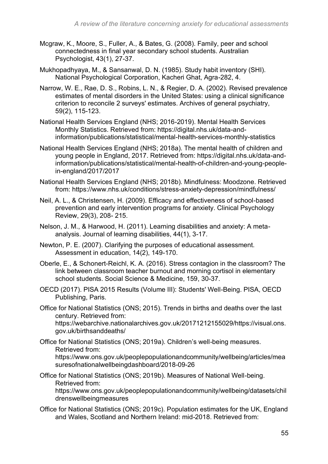- Mcgraw, K., Moore, S., Fuller, A., & Bates, G. (2008). Family, peer and school connectedness in final year secondary school students. Australian Psychologist, 43(1), 27-37.
- Mukhopadhyaya, M., & Sansanwal, D. N. (1985). Study habit inventory (SHI). National Psychological Corporation, Kacheri Ghat, Agra-282, 4.
- Narrow, W. E., Rae, D. S., Robins, L. N., & Regier, D. A. (2002). Revised prevalence estimates of mental disorders in the United States: using a clinical significance criterion to reconcile 2 surveys' estimates. Archives of general psychiatry, 59(2), 115-123.
- National Health Services England (NHS; 2016-2019). Mental Health Services Monthly Statistics. Retrieved from: https://digital.nhs.uk/data-andinformation/publications/statistical/mental-health-services-monthly-statistics
- National Health Services England (NHS; 2018a). The mental health of children and young people in England, 2017. Retrieved from: https://digital.nhs.uk/data-andinformation/publications/statistical/mental-health-of-children-and-young-peoplein-england/2017/2017
- National Health Services England (NHS; 2018b). Mindfulness: Moodzone. Retrieved from: https://www.nhs.uk/conditions/stress-anxiety-depression/mindfulness/
- Neil, A. L., & Christensen, H. (2009). Efficacy and effectiveness of school-based prevention and early intervention programs for anxiety. Clinical Psychology Review, 29(3), 208- 215.
- Nelson, J. M., & Harwood, H. (2011). Learning disabilities and anxiety: A metaanalysis. Journal of learning disabilities, 44(1), 3-17.
- Newton, P. E. (2007). Clarifying the purposes of educational assessment. Assessment in education, 14(2), 149-170.
- Oberle, E., & Schonert-Reichl, K. A. (2016). Stress contagion in the classroom? The link between classroom teacher burnout and morning cortisol in elementary school students. Social Science & Medicine, 159, 30-37.
- OECD (2017). PISA 2015 Results (Volume III): Students' Well-Being. PISA, OECD Publishing, Paris.
- Office for National Statistics (ONS; 2015). Trends in births and deaths over the last century. Retrieved from: https://webarchive.nationalarchives.gov.uk/20171212155029/https://visual.ons. gov.uk/birthsanddeaths/
- Office for National Statistics (ONS; 2019a). Children's well-being measures. Retrieved from: https://www.ons.gov.uk/peoplepopulationandcommunity/wellbeing/articles/mea suresofnationalwellbeingdashboard/2018-09-26
- Office for National Statistics (ONS; 2019b). Measures of National Well-being. Retrieved from:

https://www.ons.gov.uk/peoplepopulationandcommunity/wellbeing/datasets/chil drenswellbeingmeasures

Office for National Statistics (ONS; 2019c). Population estimates for the UK, England and Wales, Scotland and Northern Ireland: mid-2018. Retrieved from: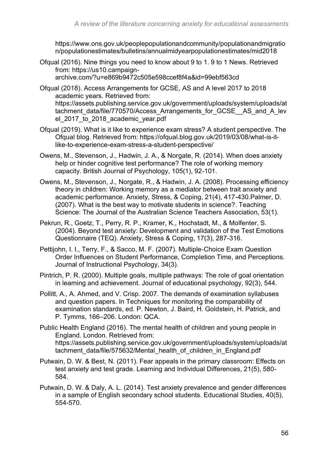https://www.ons.gov.uk/peoplepopulationandcommunity/populationandmigratio n/populationestimates/bulletins/annualmidyearpopulationestimates/mid2018

- Ofqual (2016). Nine things you need to know about 9 to 1. 9 to 1 News. Retrieved from: https://us10.campaignarchive.com/?u=e869b9472c505e598ccef8f4a&id=99ebf563cd
- Ofqual (2018). Access Arrangements for GCSE, AS and A level 2017 to 2018 academic years. Retrieved from: https://assets.publishing.service.gov.uk/government/uploads/system/uploads/at tachment\_data/file/770570/Access\_Arrangements\_for\_GCSE\_\_AS\_and\_A\_lev el\_2017\_to\_2018\_academic\_year.pdf
- Ofqual (2019). What is it like to experience exam stress? A student perspective. The Ofqual blog. Retrieved from: https://ofqual.blog.gov.uk/2019/03/08/what-is-itlike-to-experience-exam-stress-a-student-perspective/
- Owens, M., Stevenson, J., Hadwin, J. A., & Norgate, R. (2014). When does anxiety help or hinder cognitive test performance? The role of working memory capacity. British Journal of Psychology, 105(1), 92-101.
- Owens, M., Stevenson, J., Norgate, R., & Hadwin, J. A. (2008). Processing efficiency theory in children: Working memory as a mediator between trait anxiety and academic performance. Anxiety, Stress, & Coping, 21(4), 417-430.Palmer, D. (2007). What is the best way to motivate students in science?. Teaching Science: The Journal of the Australian Science Teachers Association, 53(1).
- Pekrun, R., Goetz, T., Perry, R. P., Kramer, K., Hochstadt, M., & Molfenter, S. (2004). Beyond test anxiety: Development and validation of the Test Emotions Questionnaire (TEQ). Anxiety, Stress & Coping, 17(3), 287-316.
- Pettijohn, I. I., Terry, F., & Sacco, M. F. (2007). Multiple-Choice Exam Question Order Influences on Student Performance, Completion Time, and Perceptions. Journal of Instructional Psychology, 34(3).
- Pintrich, P. R. (2000). Multiple goals, multiple pathways: The role of goal orientation in learning and achievement. Journal of educational psychology, 92(3), 544.
- Pollitt, A., A. Ahmed, and V. Crisp. 2007. The demands of examination syllabuses and question papers. In Techniques for monitoring the comparability of examination standards, ed. P. Newton, J. Baird, H. Goldstein, H. Patrick, and P. Tymms, 166–206. London: QCA.
- Public Health England (2016). The mental health of children and young people in England. London. Retrieved from: https://assets.publishing.service.gov.uk/government/uploads/system/uploads/at tachment data/file/575632/Mental health of children in England.pdf
- Putwain, D. W. & Best, N. (2011). Fear appeals in the primary classroom: Effects on test anxiety and test grade. Learning and Individual Differences, 21(5), 580- 584.
- Putwain, D. W. & Daly, A. L. (2014). Test anxiety prevalence and gender differences in a sample of English secondary school students. Educational Studies, 40(5), 554-570.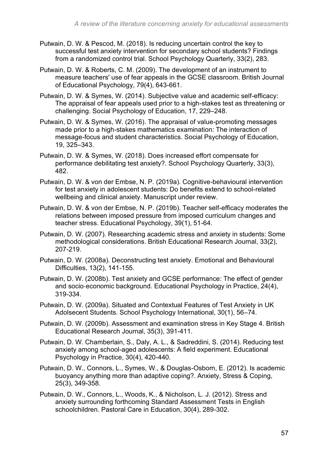- Putwain, D. W. & Pescod, M. (2018). Is reducing uncertain control the key to successful test anxiety intervention for secondary school students? Findings from a randomized control trial. School Psychology Quarterly, 33(2), 283.
- Putwain, D. W. & Roberts, C. M. (2009). The development of an instrument to measure teachers' use of fear appeals in the GCSE classroom. British Journal of Educational Psychology, 79(4), 643-661.
- Putwain, D. W. & Symes, W. (2014). Subjective value and academic self-efficacy: The appraisal of fear appeals used prior to a high-stakes test as threatening or challenging. Social Psychology of Education, 17, 229–248.
- Putwain, D. W. & Symes, W. (2016). The appraisal of value-promoting messages made prior to a high-stakes mathematics examination: The interaction of message-focus and student characteristics. Social Psychology of Education, 19, 325–343.
- Putwain, D. W. & Symes, W. (2018). Does increased effort compensate for performance debilitating test anxiety?. School Psychology Quarterly, 33(3), 482.
- Putwain, D. W. & von der Embse, N. P. (2019a). Cognitive-behavioural intervention for test anxiety in adolescent students: Do benefits extend to school-related wellbeing and clinical anxiety. Manuscript under review.
- Putwain, D. W. & von der Embse, N. P. (2019b). Teacher self-efficacy moderates the relations between imposed pressure from imposed curriculum changes and teacher stress. Educational Psychology, 39(1), 51-64.
- Putwain, D. W. (2007). Researching academic stress and anxiety in students: Some methodological considerations. British Educational Research Journal, 33(2), 207-219.
- Putwain, D. W. (2008a). Deconstructing test anxiety. Emotional and Behavioural Difficulties, 13(2), 141-155.
- Putwain, D. W. (2008b). Test anxiety and GCSE performance: The effect of gender and socio‐economic background. Educational Psychology in Practice, 24(4), 319-334.
- Putwain, D. W. (2009a). Situated and Contextual Features of Test Anxiety in UK Adolsecent Students. School Psychology International, 30(1), 56–74.
- Putwain, D. W. (2009b). Assessment and examination stress in Key Stage 4. British Educational Research Journal, 35(3), 391-411.
- Putwain, D. W. Chamberlain, S., Daly, A. L., & Sadreddini, S. (2014). Reducing test anxiety among school-aged adolescents: A field experiment. Educational Psychology in Practice, 30(4), 420-440.
- Putwain, D. W., Connors, L., Symes, W., & Douglas-Osborn, E. (2012). Is academic buoyancy anything more than adaptive coping?. Anxiety, Stress & Coping, 25(3), 349-358.
- Putwain, D. W., Connors, L., Woods, K., & Nicholson, L. J. (2012). Stress and anxiety surrounding forthcoming Standard Assessment Tests in English schoolchildren. Pastoral Care in Education, 30(4), 289-302.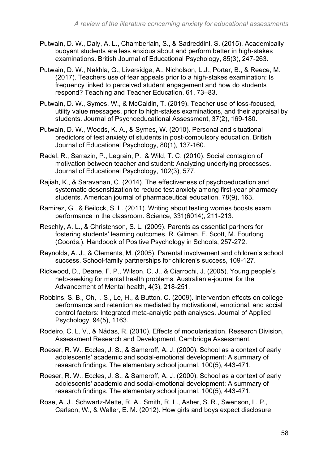- Putwain, D. W., Daly, A. L., Chamberlain, S., & Sadreddini, S. (2015). Academically buoyant students are less anxious about and perform better in high‐stakes examinations. British Journal of Educational Psychology, 85(3), 247-263.
- Putwain, D. W., Nakhla, G., Liversidge, A., Nicholson, L.J., Porter, B., & Reece, M. (2017). Teachers use of fear appeals prior to a high-stakes examination: Is frequency linked to perceived student engagement and how do students respond? Teaching and Teacher Education, 61, 73–83.
- Putwain, D. W., Symes, W., & McCaldin, T. (2019). Teacher use of loss-focused, utility value messages, prior to high-stakes examinations, and their appraisal by students. Journal of Psychoeducational Assessment, 37(2), 169-180.
- Putwain, D. W., Woods, K. A., & Symes, W. (2010). Personal and situational predictors of test anxiety of students in post‐compulsory education. British Journal of Educational Psychology, 80(1), 137-160.
- Radel, R., Sarrazin, P., Legrain, P., & Wild, T. C. (2010). Social contagion of motivation between teacher and student: Analyzing underlying processes. Journal of Educational Psychology, 102(3), 577.
- Rajiah, K., & Saravanan, C. (2014). The effectiveness of psychoeducation and systematic desensitization to reduce test anxiety among first-year pharmacy students. American journal of pharmaceutical education, 78(9), 163.
- Ramirez, G., & Beilock, S. L. (2011). Writing about testing worries boosts exam performance in the classroom. Science, 331(6014), 211-213.
- Reschly, A. L., & Christenson, S. L. (2009). Parents as essential partners for fostering students' learning outcomes. R. Gilman, E. Scott, M. Fourlong (Coords.). Handbook of Positive Psychology in Schools, 257-272.
- Reynolds, A. J., & Clements, M. (2005). Parental involvement and children's school success. School-family partnerships for children's success, 109-127.
- Rickwood, D., Deane, F. P., Wilson, C. J., & Ciarrochi, J. (2005). Young people's help-seeking for mental health problems. Australian e-journal for the Advancement of Mental health, 4(3), 218-251.
- Robbins, S. B., Oh, I. S., Le, H., & Button, C. (2009). Intervention effects on college performance and retention as mediated by motivational, emotional, and social control factors: Integrated meta-analytic path analyses. Journal of Applied Psychology, 94(5), 1163.
- Rodeiro, C. L. V., & Nádas, R. (2010). Effects of modularisation. Research Division, Assessment Research and Development, Cambridge Assessment.
- Roeser, R. W., Eccles, J. S., & Sameroff, A. J. (2000). School as a context of early adolescents' academic and social-emotional development: A summary of research findings. The elementary school journal, 100(5), 443-471.
- Roeser, R. W., Eccles, J. S., & Sameroff, A. J. (2000). School as a context of early adolescents' academic and social-emotional development: A summary of research findings. The elementary school journal, 100(5), 443-471.
- Rose, A. J., Schwartz‐Mette, R. A., Smith, R. L., Asher, S. R., Swenson, L. P., Carlson, W., & Waller, E. M. (2012). How girls and boys expect disclosure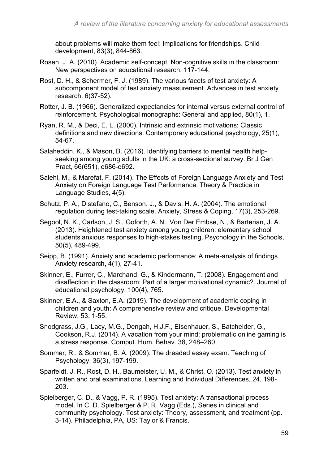about problems will make them feel: Implications for friendships. Child development, 83(3), 844-863.

- Rosen, J. A. (2010). Academic self-concept. Non-cognitive skills in the classroom: New perspectives on educational research, 117-144.
- Rost, D. H., & Schermer, F. J. (1989). The various facets of test anxiety: A subcomponent model of test anxiety measurement. Advances in test anxiety research, 6(37-52).
- Rotter, J. B. (1966). Generalized expectancies for internal versus external control of reinforcement. Psychological monographs: General and applied, 80(1), 1.
- Ryan, R. M., & Deci, E. L. (2000). Intrinsic and extrinsic motivations: Classic definitions and new directions. Contemporary educational psychology, 25(1), 54-67.
- Salaheddin, K., & Mason, B. (2016). Identifying barriers to mental health helpseeking among young adults in the UK: a cross-sectional survey. Br J Gen Pract, 66(651), e686-e692.
- Salehi, M., & Marefat, F. (2014). The Effects of Foreign Language Anxiety and Test Anxiety on Foreign Language Test Performance. Theory & Practice in Language Studies, 4(5).
- Schutz, P. A., Distefano, C., Benson, J., & Davis, H. A. (2004). The emotional regulation during test-taking scale. Anxiety, Stress & Coping, 17(3), 253-269.
- Segool, N. K., Carlson, J. S., Goforth, A. N., Von Der Embse, N., & Barterian, J. A. (2013). Heightened test anxiety among young children: elementary school students'anxious responses to high‐stakes testing. Psychology in the Schools, 50(5), 489-499.
- Seipp, B. (1991). Anxiety and academic performance: A meta-analysis of findings. Anxiety research, 4(1), 27-41.
- Skinner, E., Furrer, C., Marchand, G., & Kindermann, T. (2008). Engagement and disaffection in the classroom: Part of a larger motivational dynamic?. Journal of educational psychology, 100(4), 765.
- Skinner, E.A., & Saxton, E.A. (2019). The development of academic coping in children and youth: A comprehensive review and critique. Developmental Review, 53, 1-55.
- Snodgrass, J.G., Lacy, M.G., Dengah, H.J.F., Eisenhauer, S., Batchelder, G., Cookson, R.J. (2014). A vacation from your mind: problematic online gaming is a stress response. Comput. Hum. Behav. 38, 248–260.
- Sommer, R., & Sommer, B. A. (2009). The dreaded essay exam. Teaching of Psychology, 36(3), 197-199.
- Sparfeldt, J. R., Rost, D. H., Baumeister, U. M., & Christ, O. (2013). Test anxiety in written and oral examinations. Learning and Individual Differences, 24, 198- 203.
- Spielberger, C. D., & Vagg, P. R. (1995). Test anxiety: A transactional process model. In C. D. Spielberger & P. R. Vagg (Eds.), Series in clinical and community psychology. Test anxiety: Theory, assessment, and treatment (pp. 3-14). Philadelphia, PA, US: Taylor & Francis.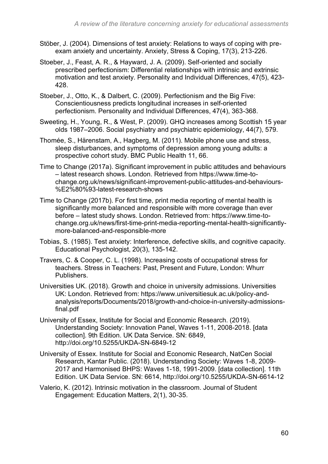- Stöber, J. (2004). Dimensions of test anxiety: Relations to ways of coping with preexam anxiety and uncertainty. Anxiety, Stress & Coping, 17(3), 213-226.
- Stoeber, J., Feast, A. R., & Hayward, J. A. (2009). Self-oriented and socially prescribed perfectionism: Differential relationships with intrinsic and extrinsic motivation and test anxiety. Personality and Individual Differences, 47(5), 423- 428.
- Stoeber, J., Otto, K., & Dalbert, C. (2009). Perfectionism and the Big Five: Conscientiousness predicts longitudinal increases in self-oriented perfectionism. Personality and Individual Differences, 47(4), 363-368.
- Sweeting, H., Young, R., & West, P. (2009). GHQ increases among Scottish 15 year olds 1987–2006. Social psychiatry and psychiatric epidemiology, 44(7), 579.
- Thomée, S., Härenstam, A., Hagberg, M. (2011). Mobile phone use and stress, sleep disturbances, and symptoms of depression among young adults: a prospective cohort study. BMC Public Health 11, 66.
- Time to Change (2017a). Significant improvement in public attitudes and behaviours – latest research shows. London. Retrieved from https://www.time-tochange.org.uk/news/significant-improvement-public-attitudes-and-behaviours- %E2%80%93-latest-research-shows
- Time to Change (2017b). For first time, print media reporting of mental health is significantly more balanced and responsible with more coverage than ever before – latest study shows. London. Retrieved from: https://www.time-tochange.org.uk/news/first-time-print-media-reporting-mental-health-significantlymore-balanced-and-responsible-more
- Tobias, S. (1985). Test anxiety: Interference, defective skills, and cognitive capacity. Educational Psychologist, 20(3), 135-142.
- Travers, C. & Cooper, C. L. (1998). Increasing costs of occupational stress for teachers. Stress in Teachers: Past, Present and Future, London: Whurr Publishers.
- Universities UK. (2018). Growth and choice in university admissions. Universities UK: London. Retrieved from: https://www.universitiesuk.ac.uk/policy-andanalysis/reports/Documents/2018/growth-and-choice-in-university-admissionsfinal.pdf
- University of Essex, Institute for Social and Economic Research. (2019). Understanding Society: Innovation Panel, Waves 1-11, 2008-2018. [data collection]. 9th Edition. UK Data Service. SN: 6849, http://doi.org/10.5255/UKDA-SN-6849-12
- University of Essex. Institute for Social and Economic Research, NatCen Social Research, Kantar Public. (2018). Understanding Society: Waves 1-8, 2009- 2017 and Harmonised BHPS: Waves 1-18, 1991-2009. [data collection]. 11th Edition. UK Data Service. SN: 6614, http://doi.org/10.5255/UKDA-SN-6614-12
- Valerio, K. (2012). Intrinsic motivation in the classroom. Journal of Student Engagement: Education Matters, 2(1), 30-35.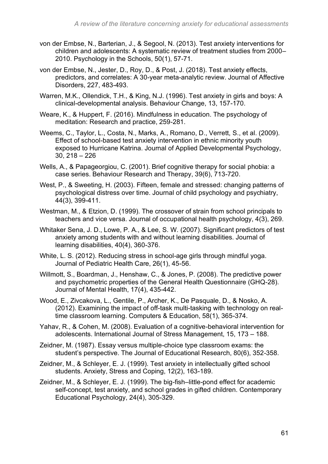- von der Embse, N., Barterian, J., & Segool, N. (2013). Test anxiety interventions for children and adolescents: A systematic review of treatment studies from 2000– 2010. Psychology in the Schools, 50(1), 57-71.
- von der Embse, N., Jester, D., Roy, D., & Post, J. (2018). Test anxiety effects, predictors, and correlates: A 30-year meta-analytic review. Journal of Affective Disorders, 227, 483-493.
- Warren, M.K., Ollendick, T.H., & King, N.J. (1996). Test anxiety in girls and boys: A clinical-developmental analysis. Behaviour Change, 13, 157-170.
- Weare, K., & Huppert, F. (2016). Mindfulness in education. The psychology of meditation: Research and practice, 259-281.
- Weems, C., Taylor, L., Costa, N., Marks, A., Romano, D., Verrett, S., et al. (2009). Effect of school-based test anxiety intervention in ethnic minority youth exposed to Hurricane Katrina. Journal of Applied Developmental Psychology, 30, 218 – 226
- Wells, A., & Papageorgiou, C. (2001). Brief cognitive therapy for social phobia: a case series. Behaviour Research and Therapy, 39(6), 713-720.
- West, P., & Sweeting, H. (2003). Fifteen, female and stressed: changing patterns of psychological distress over time. Journal of child psychology and psychiatry, 44(3), 399-411.
- Westman, M., & Etzion, D. (1999). The crossover of strain from school principals to teachers and vice versa. Journal of occupational health psychology, 4(3), 269.
- Whitaker Sena, J. D., Lowe, P. A., & Lee, S. W. (2007). Significant predictors of test anxiety among students with and without learning disabilities. Journal of learning disabilities, 40(4), 360-376.
- White, L. S. (2012). Reducing stress in school-age girls through mindful yoga. Journal of Pediatric Health Care, 26(1), 45-56.
- Willmott, S., Boardman, J., Henshaw, C., & Jones, P. (2008). The predictive power and psychometric properties of the General Health Questionnaire (GHQ-28). Journal of Mental Health, 17(4), 435-442.
- Wood, E., Zivcakova, L., Gentile, P., Archer, K., De Pasquale, D., & Nosko, A. (2012). Examining the impact of off-task multi-tasking with technology on realtime classroom learning. Computers & Education, 58(1), 365-374.
- Yahav, R., & Cohen, M. (2008). Evaluation of a cognitive-behavioral intervention for adolescents. International Journal of Stress Management, 15, 173 – 188.
- Zeidner, M. (1987). Essay versus multiple-choice type classroom exams: the student's perspective. The Journal of Educational Research, 80(6), 352-358.
- Zeidner, M., & Schleyer, E. J. (1999). Test anxiety in intellectually gifted school students. Anxiety, Stress and Coping, 12(2), 163-189.
- Zeidner, M., & Schleyer, E. J. (1999). The big-fish–little-pond effect for academic self-concept, test anxiety, and school grades in gifted children. Contemporary Educational Psychology, 24(4), 305-329.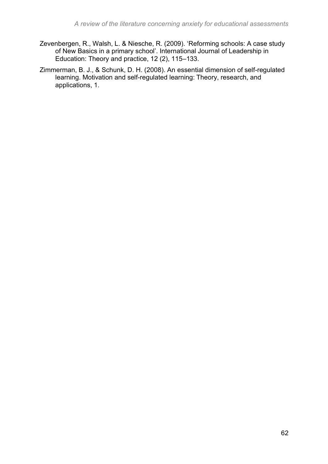- Zevenbergen, R., Walsh, L. & Niesche, R. (2009). 'Reforming schools: A case study of New Basics in a primary school'. International Journal of Leadership in Education: Theory and practice, 12 (2), 115–133.
- Zimmerman, B. J., & Schunk, D. H. (2008). An essential dimension of self-regulated learning. Motivation and self-regulated learning: Theory, research, and applications, 1.